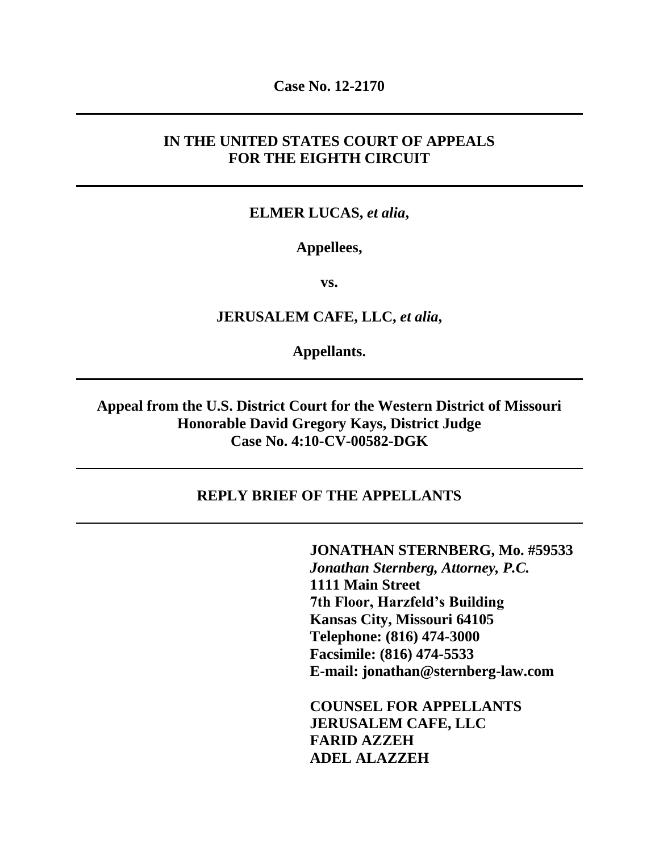**Case No. 12-2170**

### **IN THE UNITED STATES COURT OF APPEALS FOR THE EIGHTH CIRCUIT**

### **ELMER LUCAS,** *et alia***,**

### **Appellees,**

**vs.**

### **JERUSALEM CAFE, LLC,** *et alia***,**

**Appellants.**

**Appeal from the U.S. District Court for the Western District of Missouri Honorable David Gregory Kays, District Judge Case No. 4:10-CV-00582-DGK**

#### **REPLY BRIEF OF THE APPELLANTS**

**JONATHAN STERNBERG, Mo. #59533** *Jonathan Sternberg, Attorney, P.C.* **1111 Main Street 7th Floor, Harzfeld's Building Kansas City, Missouri 64105 Telephone: (816) 474-3000 Facsimile: (816) 474-5533 E-mail: jonathan@sternberg-law.com**

**COUNSEL FOR APPELLANTS JERUSALEM CAFE, LLC FARID AZZEH ADEL ALAZZEH**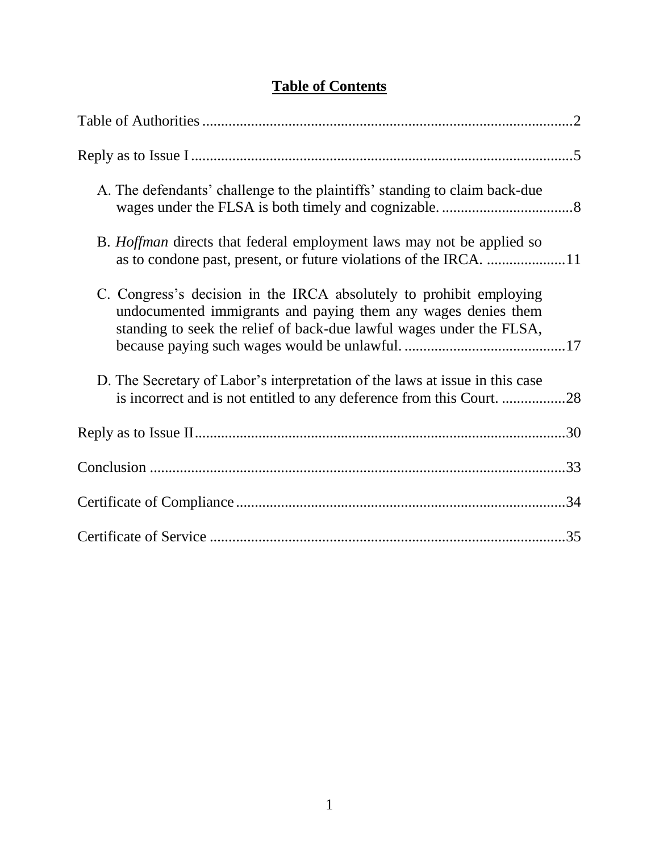# **Table of Contents**

| A. The defendants' challenge to the plaintiffs' standing to claim back-due                                                                                                                                   |  |
|--------------------------------------------------------------------------------------------------------------------------------------------------------------------------------------------------------------|--|
| B. <i>Hoffman</i> directs that federal employment laws may not be applied so                                                                                                                                 |  |
| C. Congress's decision in the IRCA absolutely to prohibit employing<br>undocumented immigrants and paying them any wages denies them<br>standing to seek the relief of back-due lawful wages under the FLSA, |  |
| D. The Secretary of Labor's interpretation of the laws at issue in this case<br>is incorrect and is not entitled to any deference from this Court28                                                          |  |
|                                                                                                                                                                                                              |  |
|                                                                                                                                                                                                              |  |
|                                                                                                                                                                                                              |  |
|                                                                                                                                                                                                              |  |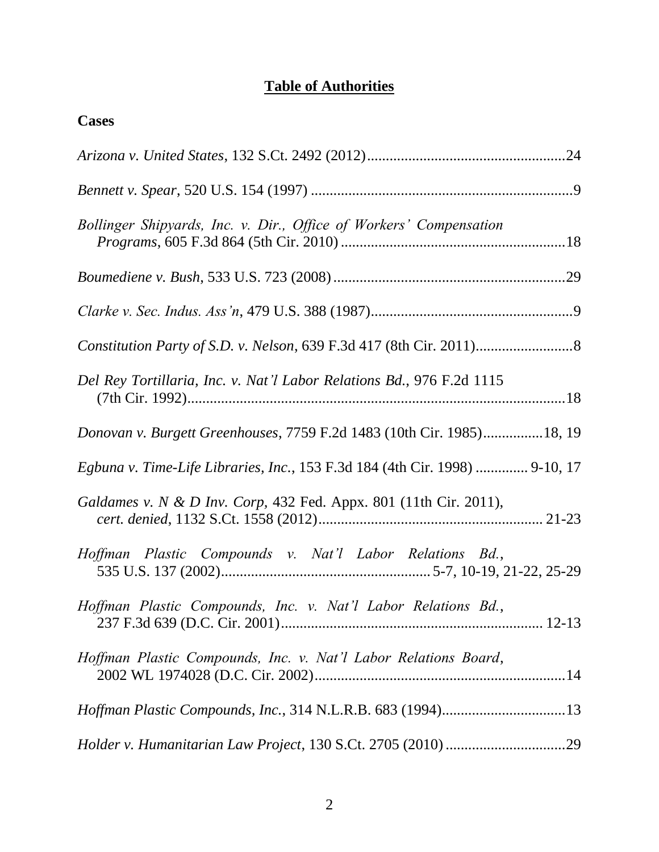# **Table of Authorities**

| <b>Cases</b>                                                                |
|-----------------------------------------------------------------------------|
|                                                                             |
|                                                                             |
| Bollinger Shipyards, Inc. v. Dir., Office of Workers' Compensation          |
|                                                                             |
|                                                                             |
|                                                                             |
| Del Rey Tortillaria, Inc. v. Nat'l Labor Relations Bd., 976 F.2d 1115       |
| Donovan v. Burgett Greenhouses, 7759 F.2d 1483 (10th Cir. 1985)18, 19       |
| Egbuna v. Time-Life Libraries, Inc., 153 F.3d 184 (4th Cir. 1998)  9-10, 17 |
| Galdames v. N & D Inv. Corp, 432 Fed. Appx. 801 (11th Cir. 2011),           |
| Hoffman Plastic Compounds v. Nat'l Labor Relations Bd.,                     |
| Hoffman Plastic Compounds, Inc. v. Nat'l Labor Relations Bd.,               |
| Hoffman Plastic Compounds, Inc. v. Nat'l Labor Relations Board,             |
|                                                                             |
|                                                                             |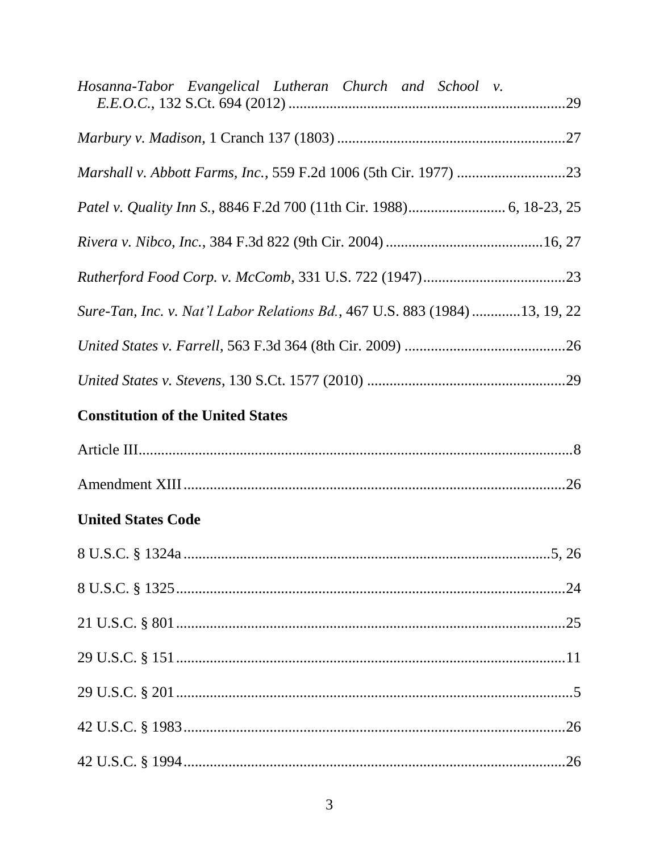| Hosanna-Tabor Evangelical Lutheran Church and School v.                    |
|----------------------------------------------------------------------------|
|                                                                            |
|                                                                            |
|                                                                            |
|                                                                            |
|                                                                            |
| Sure-Tan, Inc. v. Nat'l Labor Relations Bd., 467 U.S. 883 (1984)13, 19, 22 |
|                                                                            |
|                                                                            |
| <b>Constitution of the United States</b>                                   |
|                                                                            |
|                                                                            |
| <b>United States Code</b>                                                  |
|                                                                            |
|                                                                            |
|                                                                            |
|                                                                            |
|                                                                            |
|                                                                            |
|                                                                            |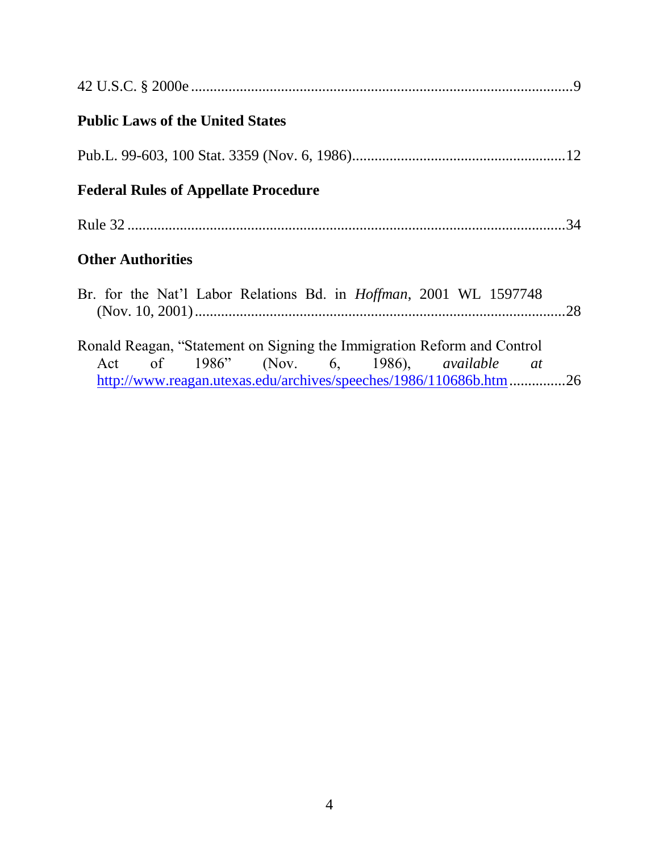| <b>Public Laws of the United States</b>                                                                         |  |
|-----------------------------------------------------------------------------------------------------------------|--|
|                                                                                                                 |  |
| <b>Federal Rules of Appellate Procedure</b>                                                                     |  |
|                                                                                                                 |  |
| <b>Other Authorities</b>                                                                                        |  |
| Br. for the Nat'l Labor Relations Bd. in <i>Hoffman</i> , 2001 WL 1597748                                       |  |
| Ronald Reagan, "Statement on Signing the Immigration Reform and Control                                         |  |
| Act of 1986" (Nov. 6, 1986), available at<br>http://www.reagan.utexas.edu/archives/speeches/1986/110686b.htm 26 |  |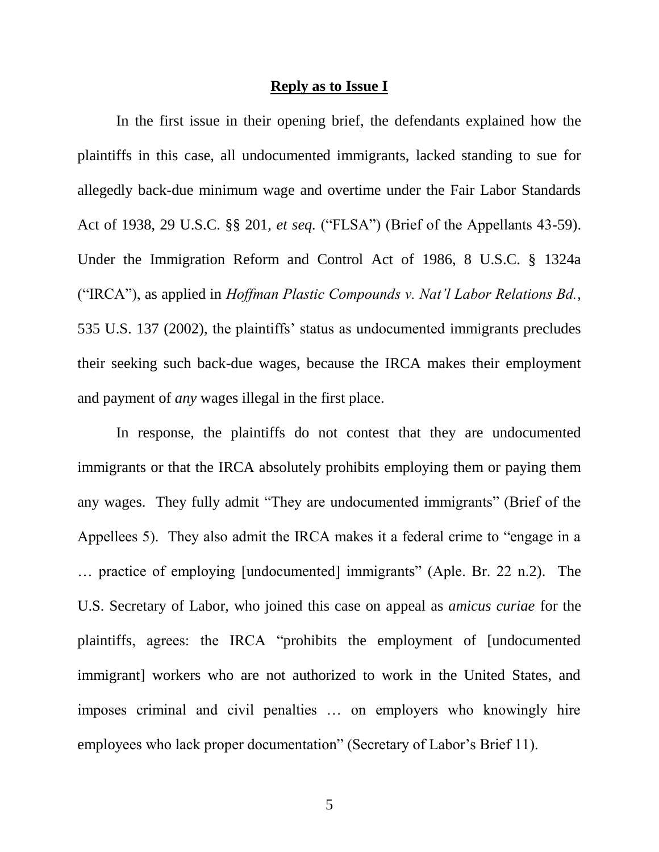#### **Reply as to Issue I**

In the first issue in their opening brief, the defendants explained how the plaintiffs in this case, all undocumented immigrants, lacked standing to sue for allegedly back-due minimum wage and overtime under the Fair Labor Standards Act of 1938, 29 U.S.C. §§ 201, *et seq.* ("FLSA") (Brief of the Appellants 43-59). Under the Immigration Reform and Control Act of 1986, 8 U.S.C. § 1324a ("IRCA"), as applied in *Hoffman Plastic Compounds v. Nat'l Labor Relations Bd.*, 535 U.S. 137 (2002), the plaintiffs' status as undocumented immigrants precludes their seeking such back-due wages, because the IRCA makes their employment and payment of *any* wages illegal in the first place.

In response, the plaintiffs do not contest that they are undocumented immigrants or that the IRCA absolutely prohibits employing them or paying them any wages. They fully admit "They are undocumented immigrants" (Brief of the Appellees 5). They also admit the IRCA makes it a federal crime to "engage in a … practice of employing [undocumented] immigrants" (Aple. Br. 22 n.2). The U.S. Secretary of Labor, who joined this case on appeal as *amicus curiae* for the plaintiffs, agrees: the IRCA "prohibits the employment of [undocumented immigrant] workers who are not authorized to work in the United States, and imposes criminal and civil penalties … on employers who knowingly hire employees who lack proper documentation" (Secretary of Labor's Brief 11).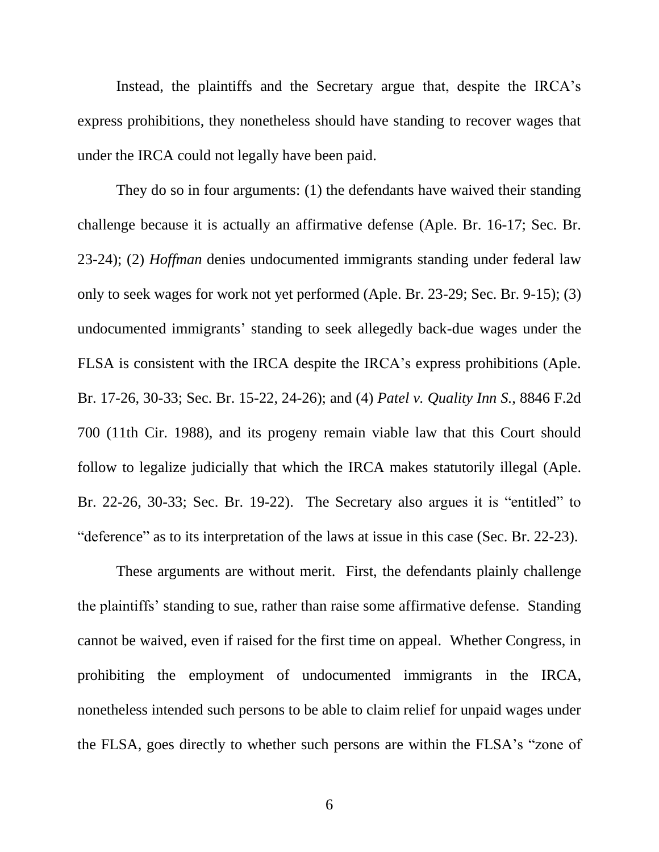Instead, the plaintiffs and the Secretary argue that, despite the IRCA's express prohibitions, they nonetheless should have standing to recover wages that under the IRCA could not legally have been paid.

They do so in four arguments: (1) the defendants have waived their standing challenge because it is actually an affirmative defense (Aple. Br. 16-17; Sec. Br. 23-24); (2) *Hoffman* denies undocumented immigrants standing under federal law only to seek wages for work not yet performed (Aple. Br. 23-29; Sec. Br. 9-15); (3) undocumented immigrants' standing to seek allegedly back-due wages under the FLSA is consistent with the IRCA despite the IRCA's express prohibitions (Aple. Br. 17-26, 30-33; Sec. Br. 15-22, 24-26); and (4) *Patel v. Quality Inn S.*, 8846 F.2d 700 (11th Cir. 1988), and its progeny remain viable law that this Court should follow to legalize judicially that which the IRCA makes statutorily illegal (Aple. Br. 22-26, 30-33; Sec. Br. 19-22). The Secretary also argues it is "entitled" to "deference" as to its interpretation of the laws at issue in this case (Sec. Br. 22-23).

These arguments are without merit. First, the defendants plainly challenge the plaintiffs' standing to sue, rather than raise some affirmative defense. Standing cannot be waived, even if raised for the first time on appeal. Whether Congress, in prohibiting the employment of undocumented immigrants in the IRCA, nonetheless intended such persons to be able to claim relief for unpaid wages under the FLSA, goes directly to whether such persons are within the FLSA's "zone of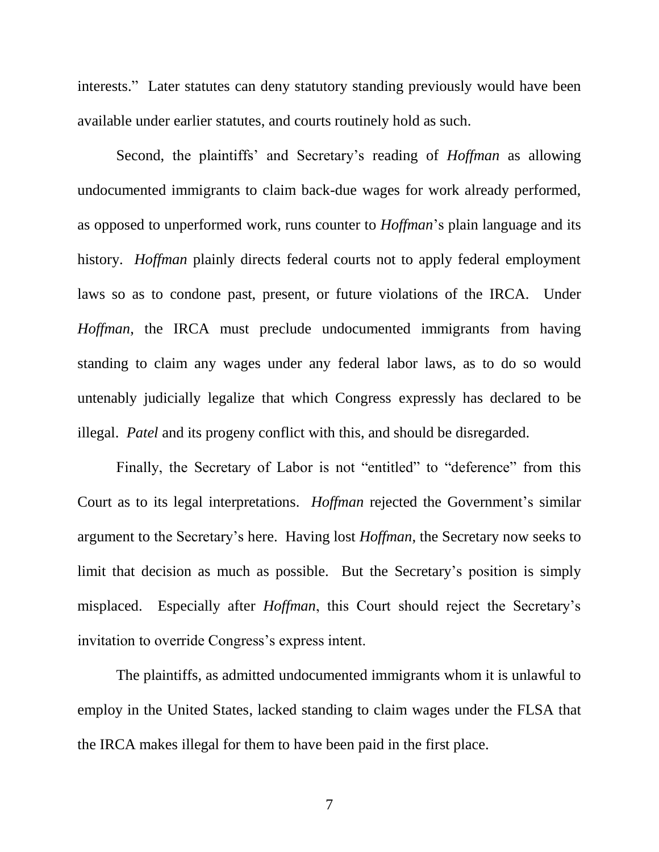interests." Later statutes can deny statutory standing previously would have been available under earlier statutes, and courts routinely hold as such.

Second, the plaintiffs' and Secretary's reading of *Hoffman* as allowing undocumented immigrants to claim back-due wages for work already performed, as opposed to unperformed work, runs counter to *Hoffman*'s plain language and its history. *Hoffman* plainly directs federal courts not to apply federal employment laws so as to condone past, present, or future violations of the IRCA. Under *Hoffman*, the IRCA must preclude undocumented immigrants from having standing to claim any wages under any federal labor laws, as to do so would untenably judicially legalize that which Congress expressly has declared to be illegal. *Patel* and its progeny conflict with this, and should be disregarded.

Finally, the Secretary of Labor is not "entitled" to "deference" from this Court as to its legal interpretations. *Hoffman* rejected the Government's similar argument to the Secretary's here. Having lost *Hoffman*, the Secretary now seeks to limit that decision as much as possible. But the Secretary's position is simply misplaced. Especially after *Hoffman*, this Court should reject the Secretary's invitation to override Congress's express intent.

The plaintiffs, as admitted undocumented immigrants whom it is unlawful to employ in the United States, lacked standing to claim wages under the FLSA that the IRCA makes illegal for them to have been paid in the first place.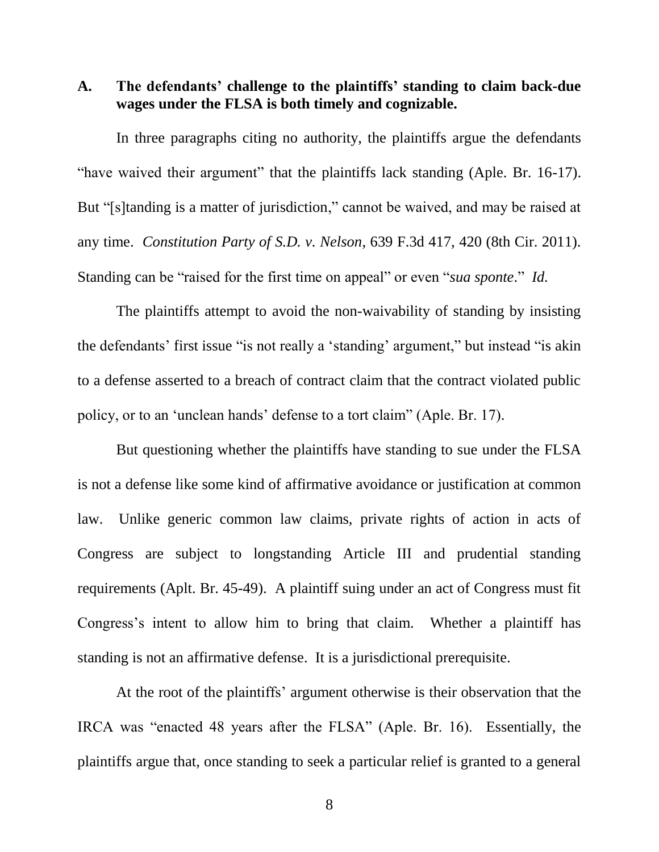**A. The defendants' challenge to the plaintiffs' standing to claim back-due wages under the FLSA is both timely and cognizable.**

In three paragraphs citing no authority, the plaintiffs argue the defendants "have waived their argument" that the plaintiffs lack standing (Aple. Br. 16-17). But "[s]tanding is a matter of jurisdiction," cannot be waived, and may be raised at any time. *Constitution Party of S.D. v. Nelson*, 639 F.3d 417, 420 (8th Cir. 2011). Standing can be "raised for the first time on appeal" or even "*sua sponte*." *Id.*

The plaintiffs attempt to avoid the non-waivability of standing by insisting the defendants' first issue "is not really a 'standing' argument," but instead "is akin to a defense asserted to a breach of contract claim that the contract violated public policy, or to an 'unclean hands' defense to a tort claim" (Aple. Br. 17).

But questioning whether the plaintiffs have standing to sue under the FLSA is not a defense like some kind of affirmative avoidance or justification at common law. Unlike generic common law claims, private rights of action in acts of Congress are subject to longstanding Article III and prudential standing requirements (Aplt. Br. 45-49). A plaintiff suing under an act of Congress must fit Congress's intent to allow him to bring that claim. Whether a plaintiff has standing is not an affirmative defense. It is a jurisdictional prerequisite.

At the root of the plaintiffs' argument otherwise is their observation that the IRCA was "enacted 48 years after the FLSA" (Aple. Br. 16). Essentially, the plaintiffs argue that, once standing to seek a particular relief is granted to a general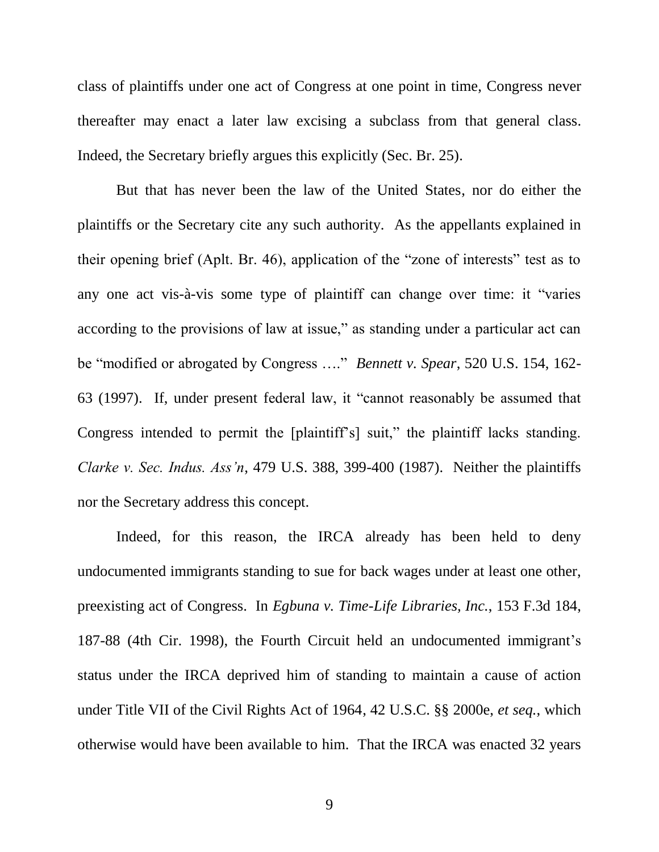class of plaintiffs under one act of Congress at one point in time, Congress never thereafter may enact a later law excising a subclass from that general class. Indeed, the Secretary briefly argues this explicitly (Sec. Br. 25).

But that has never been the law of the United States, nor do either the plaintiffs or the Secretary cite any such authority. As the appellants explained in their opening brief (Aplt. Br. 46), application of the "zone of interests" test as to any one act vis-à-vis some type of plaintiff can change over time: it "varies according to the provisions of law at issue," as standing under a particular act can be "modified or abrogated by Congress …." *Bennett v. Spear*, 520 U.S. 154, 162- 63 (1997). If, under present federal law, it "cannot reasonably be assumed that Congress intended to permit the [plaintiff's] suit," the plaintiff lacks standing. *Clarke v. Sec. Indus. Ass'n*, 479 U.S. 388, 399-400 (1987). Neither the plaintiffs nor the Secretary address this concept.

Indeed, for this reason, the IRCA already has been held to deny undocumented immigrants standing to sue for back wages under at least one other, preexisting act of Congress. In *Egbuna v. Time-Life Libraries, Inc.*, 153 F.3d 184, 187-88 (4th Cir. 1998), the Fourth Circuit held an undocumented immigrant's status under the IRCA deprived him of standing to maintain a cause of action under Title VII of the Civil Rights Act of 1964, 42 U.S.C. §§ 2000e, *et seq.*, which otherwise would have been available to him. That the IRCA was enacted 32 years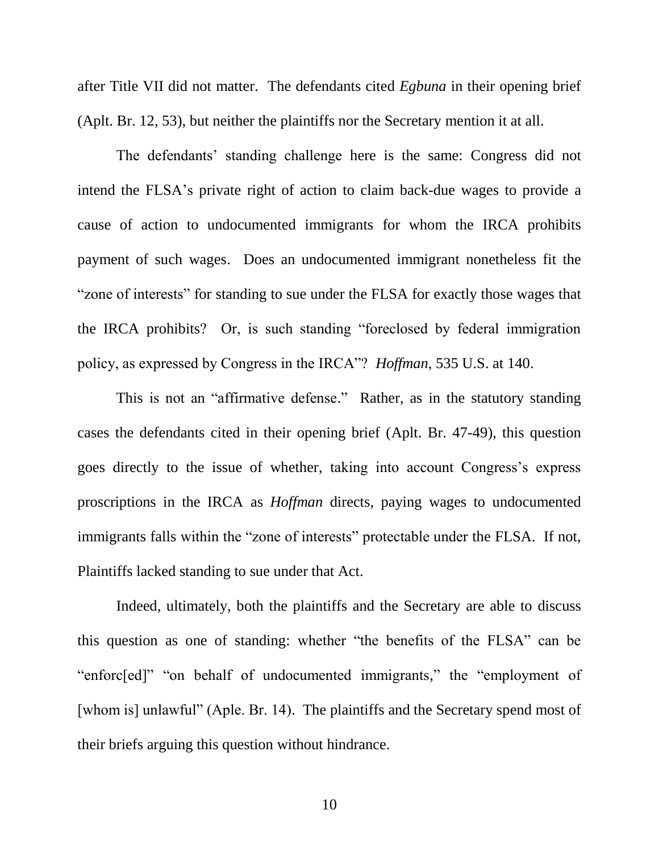after Title VII did not matter. The defendants cited *Egbuna* in their opening brief (Aplt. Br. 12, 53), but neither the plaintiffs nor the Secretary mention it at all.

The defendants' standing challenge here is the same: Congress did not intend the FLSA's private right of action to claim back-due wages to provide a cause of action to undocumented immigrants for whom the IRCA prohibits payment of such wages. Does an undocumented immigrant nonetheless fit the "zone of interests" for standing to sue under the FLSA for exactly those wages that the IRCA prohibits? Or, is such standing "foreclosed by federal immigration policy, as expressed by Congress in the IRCA"? *Hoffman*, 535 U.S. at 140.

This is not an "affirmative defense." Rather, as in the statutory standing cases the defendants cited in their opening brief (Aplt. Br. 47-49), this question goes directly to the issue of whether, taking into account Congress's express proscriptions in the IRCA as *Hoffman* directs, paying wages to undocumented immigrants falls within the "zone of interests" protectable under the FLSA. If not, Plaintiffs lacked standing to sue under that Act.

Indeed, ultimately, both the plaintiffs and the Secretary are able to discuss this question as one of standing: whether "the benefits of the FLSA" can be "enforc[ed]" "on behalf of undocumented immigrants," the "employment of [whom is] unlawful" (Aple. Br. 14). The plaintiffs and the Secretary spend most of their briefs arguing this question without hindrance.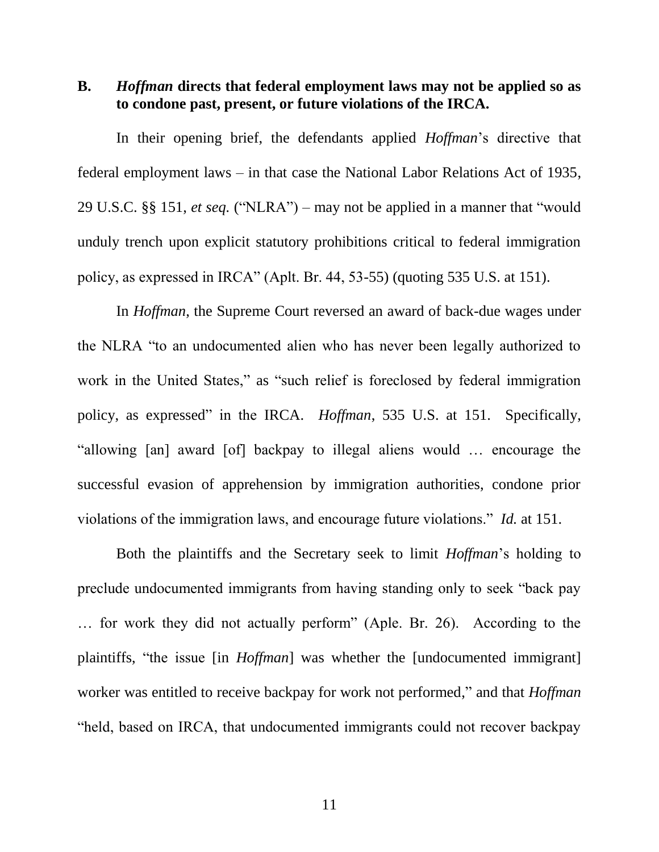**B.** *Hoffman* **directs that federal employment laws may not be applied so as to condone past, present, or future violations of the IRCA.** 

In their opening brief, the defendants applied *Hoffman*'s directive that federal employment laws – in that case the National Labor Relations Act of 1935, 29 U.S.C. §§ 151, *et seq.* ("NLRA") – may not be applied in a manner that "would unduly trench upon explicit statutory prohibitions critical to federal immigration policy, as expressed in IRCA" (Aplt. Br. 44, 53-55) (quoting 535 U.S. at 151).

In *Hoffman*, the Supreme Court reversed an award of back-due wages under the NLRA "to an undocumented alien who has never been legally authorized to work in the United States," as "such relief is foreclosed by federal immigration policy, as expressed" in the IRCA. *Hoffman*, 535 U.S. at 151. Specifically, "allowing [an] award [of] backpay to illegal aliens would … encourage the successful evasion of apprehension by immigration authorities, condone prior violations of the immigration laws, and encourage future violations." *Id.* at 151.

Both the plaintiffs and the Secretary seek to limit *Hoffman*'s holding to preclude undocumented immigrants from having standing only to seek "back pay … for work they did not actually perform" (Aple. Br. 26). According to the plaintiffs, "the issue [in *Hoffman*] was whether the [undocumented immigrant] worker was entitled to receive backpay for work not performed," and that *Hoffman*  "held, based on IRCA, that undocumented immigrants could not recover backpay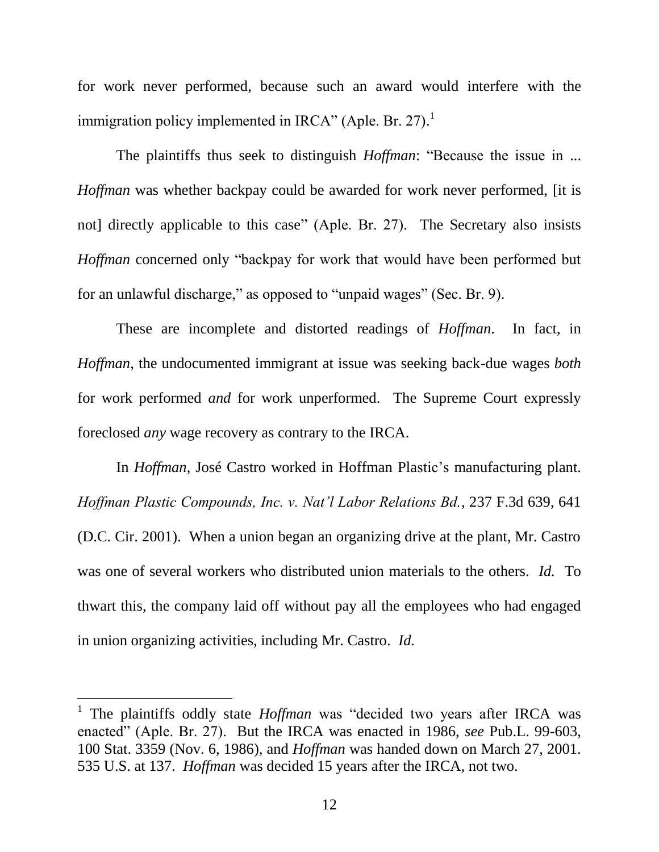for work never performed, because such an award would interfere with the immigration policy implemented in IRCA" (Aple. Br. 27).<sup>1</sup>

The plaintiffs thus seek to distinguish *Hoffman*: "Because the issue in ... *Hoffman* was whether backpay could be awarded for work never performed, [it is not] directly applicable to this case" (Aple. Br. 27). The Secretary also insists *Hoffman* concerned only "backpay for work that would have been performed but for an unlawful discharge," as opposed to "unpaid wages" (Sec. Br. 9).

These are incomplete and distorted readings of *Hoffman*. In fact, in *Hoffman*, the undocumented immigrant at issue was seeking back-due wages *both* for work performed *and* for work unperformed. The Supreme Court expressly foreclosed *any* wage recovery as contrary to the IRCA.

In *Hoffman*, José Castro worked in Hoffman Plastic's manufacturing plant. *Hoffman Plastic Compounds, Inc. v. Nat'l Labor Relations Bd.*, 237 F.3d 639, 641 (D.C. Cir. 2001). When a union began an organizing drive at the plant, Mr. Castro was one of several workers who distributed union materials to the others. *Id.* To thwart this, the company laid off without pay all the employees who had engaged in union organizing activities, including Mr. Castro. *Id.*

 $\overline{a}$ 

<sup>&</sup>lt;sup>1</sup> The plaintiffs oddly state *Hoffman* was "decided two years after IRCA was enacted" (Aple. Br. 27). But the IRCA was enacted in 1986, *see* Pub.L. 99-603, 100 Stat. 3359 (Nov. 6, 1986), and *Hoffman* was handed down on March 27, 2001. 535 U.S. at 137. *Hoffman* was decided 15 years after the IRCA, not two.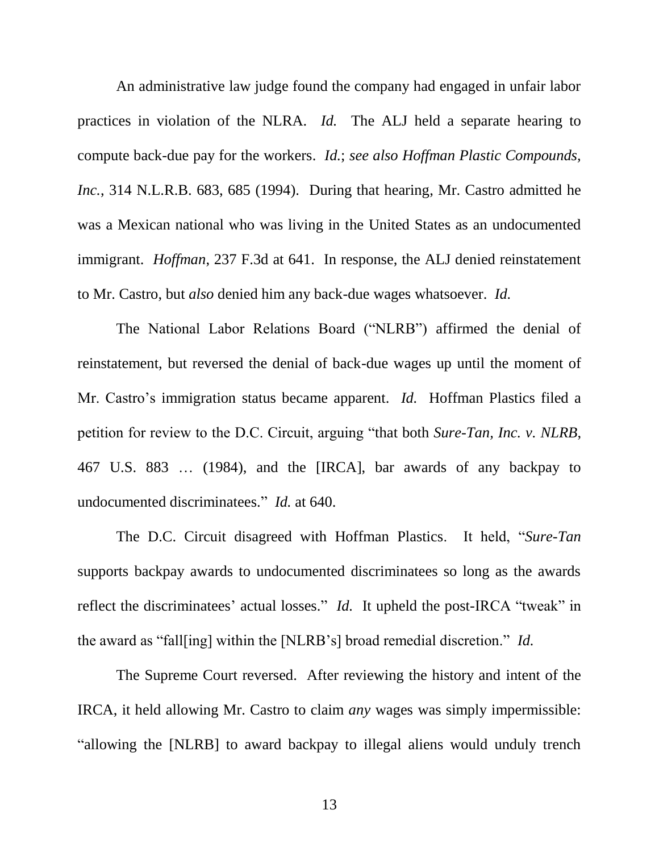An administrative law judge found the company had engaged in unfair labor practices in violation of the NLRA. *Id.* The ALJ held a separate hearing to compute back-due pay for the workers. *Id.*; *see also Hoffman Plastic Compounds, Inc.*, 314 N.L.R.B. 683, 685 (1994). During that hearing, Mr. Castro admitted he was a Mexican national who was living in the United States as an undocumented immigrant. *Hoffman*, 237 F.3d at 641. In response, the ALJ denied reinstatement to Mr. Castro, but *also* denied him any back-due wages whatsoever. *Id.*

The National Labor Relations Board ("NLRB") affirmed the denial of reinstatement, but reversed the denial of back-due wages up until the moment of Mr. Castro's immigration status became apparent. *Id.* Hoffman Plastics filed a petition for review to the D.C. Circuit, arguing "that both *Sure-Tan, Inc. v. NLRB*, 467 U.S. 883 … (1984), and the [IRCA], bar awards of any backpay to undocumented discriminatees." *Id.* at 640.

The D.C. Circuit disagreed with Hoffman Plastics. It held, "*Sure-Tan* supports backpay awards to undocumented discriminatees so long as the awards reflect the discriminatees' actual losses." *Id.* It upheld the post-IRCA "tweak" in the award as "fall[ing] within the [NLRB's] broad remedial discretion." *Id.*

The Supreme Court reversed. After reviewing the history and intent of the IRCA, it held allowing Mr. Castro to claim *any* wages was simply impermissible: "allowing the [NLRB] to award backpay to illegal aliens would unduly trench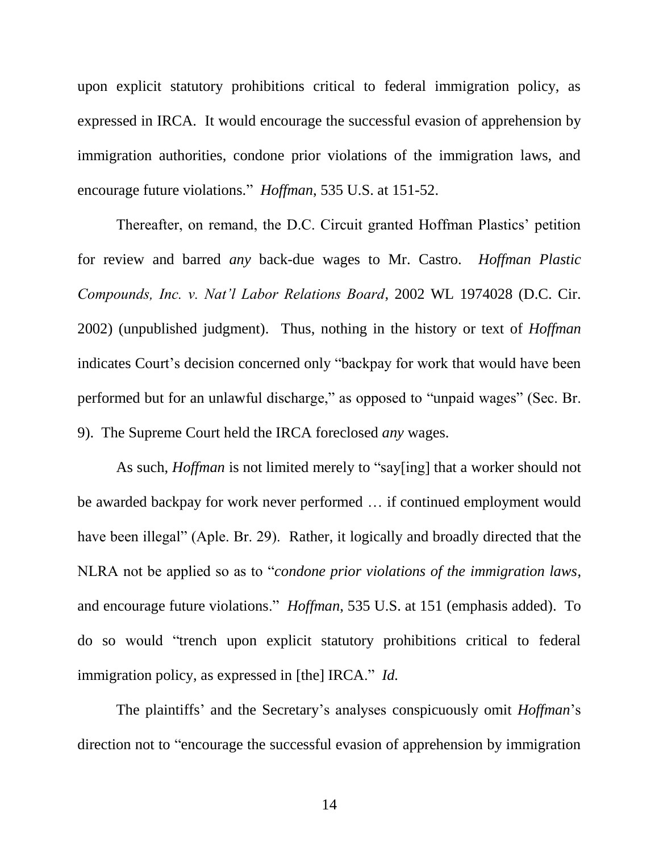upon explicit statutory prohibitions critical to federal immigration policy, as expressed in IRCA. It would encourage the successful evasion of apprehension by immigration authorities, condone prior violations of the immigration laws, and encourage future violations." *Hoffman*, 535 U.S. at 151-52.

Thereafter, on remand, the D.C. Circuit granted Hoffman Plastics' petition for review and barred *any* back-due wages to Mr. Castro. *Hoffman Plastic Compounds, Inc. v. Nat'l Labor Relations Board*, 2002 WL 1974028 (D.C. Cir. 2002) (unpublished judgment). Thus, nothing in the history or text of *Hoffman* indicates Court's decision concerned only "backpay for work that would have been performed but for an unlawful discharge," as opposed to "unpaid wages" (Sec. Br. 9). The Supreme Court held the IRCA foreclosed *any* wages.

As such, *Hoffman* is not limited merely to "say[ing] that a worker should not be awarded backpay for work never performed … if continued employment would have been illegal" (Aple. Br. 29). Rather, it logically and broadly directed that the NLRA not be applied so as to "*condone prior violations of the immigration laws*, and encourage future violations." *Hoffman*, 535 U.S. at 151 (emphasis added). To do so would "trench upon explicit statutory prohibitions critical to federal immigration policy, as expressed in [the] IRCA." *Id.*

The plaintiffs' and the Secretary's analyses conspicuously omit *Hoffman*'s direction not to "encourage the successful evasion of apprehension by immigration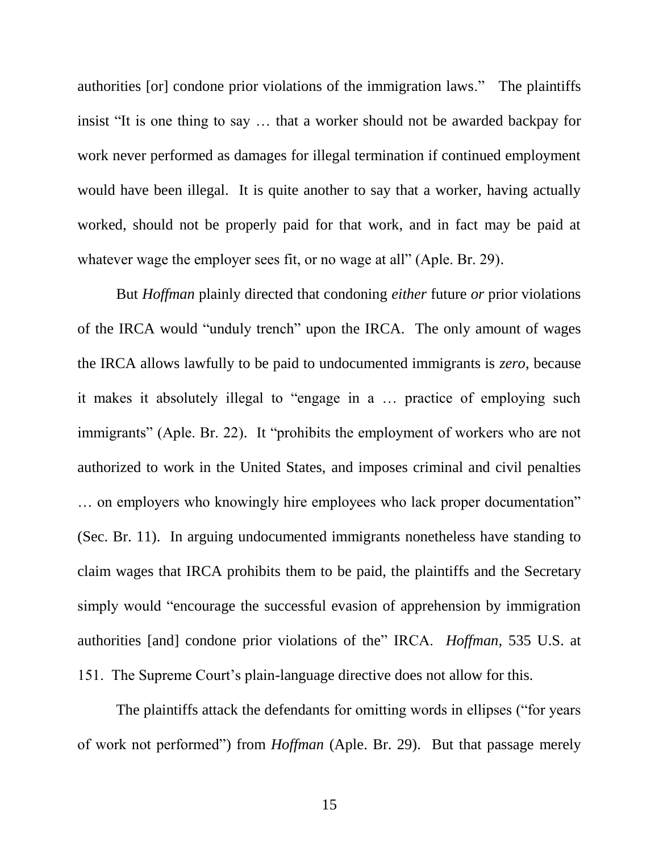authorities [or] condone prior violations of the immigration laws." The plaintiffs insist "It is one thing to say … that a worker should not be awarded backpay for work never performed as damages for illegal termination if continued employment would have been illegal. It is quite another to say that a worker, having actually worked, should not be properly paid for that work, and in fact may be paid at whatever wage the employer sees fit, or no wage at all" (Aple. Br. 29).

But *Hoffman* plainly directed that condoning *either* future *or* prior violations of the IRCA would "unduly trench" upon the IRCA. The only amount of wages the IRCA allows lawfully to be paid to undocumented immigrants is *zero*, because it makes it absolutely illegal to "engage in a … practice of employing such immigrants" (Aple. Br. 22). It "prohibits the employment of workers who are not authorized to work in the United States, and imposes criminal and civil penalties … on employers who knowingly hire employees who lack proper documentation" (Sec. Br. 11). In arguing undocumented immigrants nonetheless have standing to claim wages that IRCA prohibits them to be paid, the plaintiffs and the Secretary simply would "encourage the successful evasion of apprehension by immigration authorities [and] condone prior violations of the" IRCA. *Hoffman*, 535 U.S. at 151. The Supreme Court's plain-language directive does not allow for this.

The plaintiffs attack the defendants for omitting words in ellipses ("for years of work not performed") from *Hoffman* (Aple. Br. 29). But that passage merely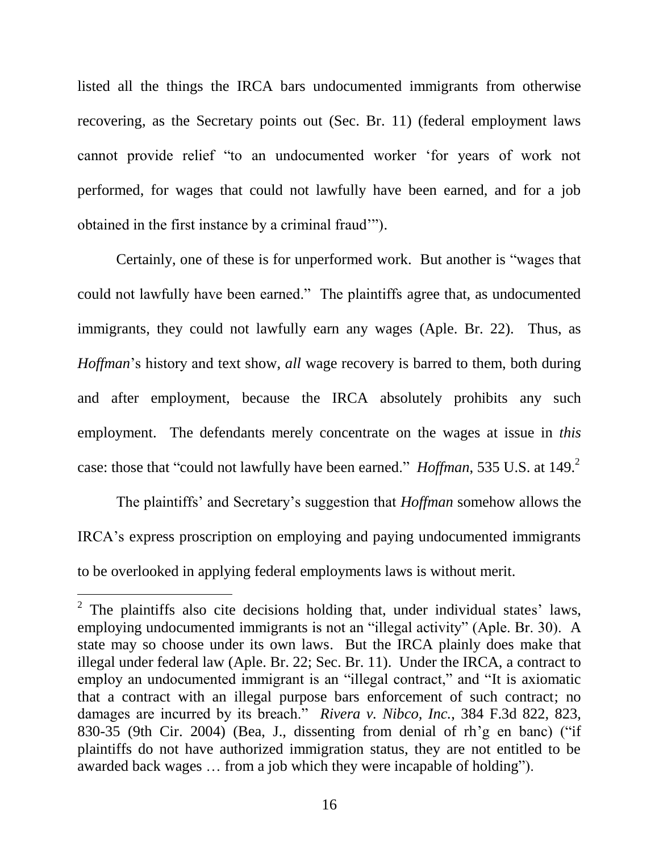listed all the things the IRCA bars undocumented immigrants from otherwise recovering, as the Secretary points out (Sec. Br. 11) (federal employment laws cannot provide relief "to an undocumented worker 'for years of work not performed, for wages that could not lawfully have been earned, and for a job obtained in the first instance by a criminal fraud'").

Certainly, one of these is for unperformed work. But another is "wages that could not lawfully have been earned." The plaintiffs agree that, as undocumented immigrants, they could not lawfully earn any wages (Aple. Br. 22). Thus, as *Hoffman*'s history and text show, *all* wage recovery is barred to them, both during and after employment, because the IRCA absolutely prohibits any such employment. The defendants merely concentrate on the wages at issue in *this* case: those that "could not lawfully have been earned." *Hoffman*, 535 U.S. at 149.<sup>2</sup>

The plaintiffs' and Secretary's suggestion that *Hoffman* somehow allows the IRCA's express proscription on employing and paying undocumented immigrants to be overlooked in applying federal employments laws is without merit.

l

<sup>&</sup>lt;sup>2</sup> The plaintiffs also cite decisions holding that, under individual states' laws, employing undocumented immigrants is not an "illegal activity" (Aple. Br. 30). A state may so choose under its own laws. But the IRCA plainly does make that illegal under federal law (Aple. Br. 22; Sec. Br. 11). Under the IRCA, a contract to employ an undocumented immigrant is an "illegal contract," and "It is axiomatic that a contract with an illegal purpose bars enforcement of such contract; no damages are incurred by its breach." *Rivera v. Nibco, Inc.*, 384 F.3d 822, 823, 830-35 (9th Cir. 2004) (Bea, J., dissenting from denial of rh'g en banc) ("if plaintiffs do not have authorized immigration status, they are not entitled to be awarded back wages … from a job which they were incapable of holding").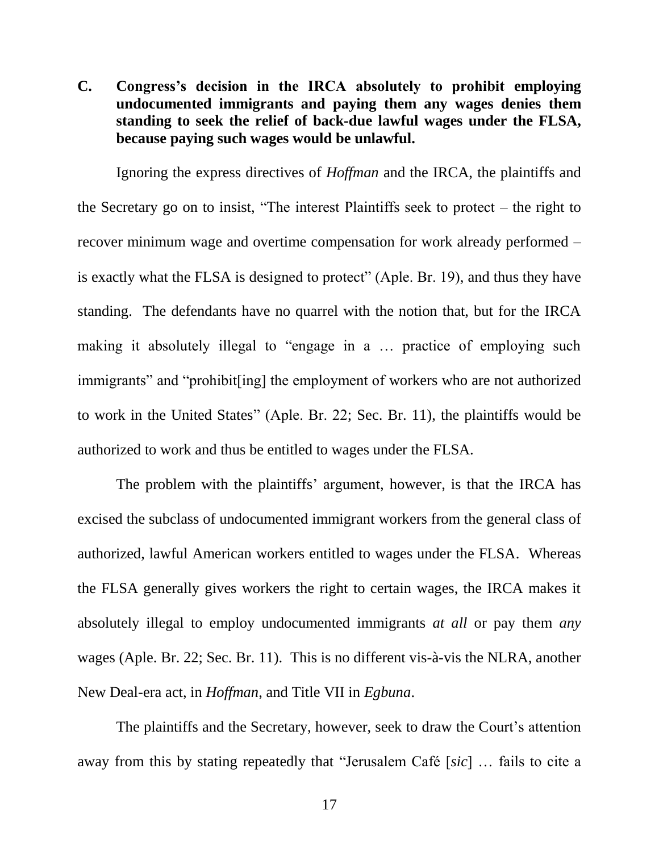**C. Congress's decision in the IRCA absolutely to prohibit employing undocumented immigrants and paying them any wages denies them standing to seek the relief of back-due lawful wages under the FLSA, because paying such wages would be unlawful.**

Ignoring the express directives of *Hoffman* and the IRCA, the plaintiffs and the Secretary go on to insist, "The interest Plaintiffs seek to protect – the right to recover minimum wage and overtime compensation for work already performed – is exactly what the FLSA is designed to protect" (Aple. Br. 19), and thus they have standing. The defendants have no quarrel with the notion that, but for the IRCA making it absolutely illegal to "engage in a … practice of employing such immigrants" and "prohibit[ing] the employment of workers who are not authorized to work in the United States" (Aple. Br. 22; Sec. Br. 11), the plaintiffs would be authorized to work and thus be entitled to wages under the FLSA.

The problem with the plaintiffs' argument, however, is that the IRCA has excised the subclass of undocumented immigrant workers from the general class of authorized, lawful American workers entitled to wages under the FLSA. Whereas the FLSA generally gives workers the right to certain wages, the IRCA makes it absolutely illegal to employ undocumented immigrants *at all* or pay them *any* wages (Aple. Br. 22; Sec. Br. 11). This is no different vis-à-vis the NLRA, another New Deal-era act, in *Hoffman*, and Title VII in *Egbuna*.

The plaintiffs and the Secretary, however, seek to draw the Court's attention away from this by stating repeatedly that "Jerusalem Café [*sic*] … fails to cite a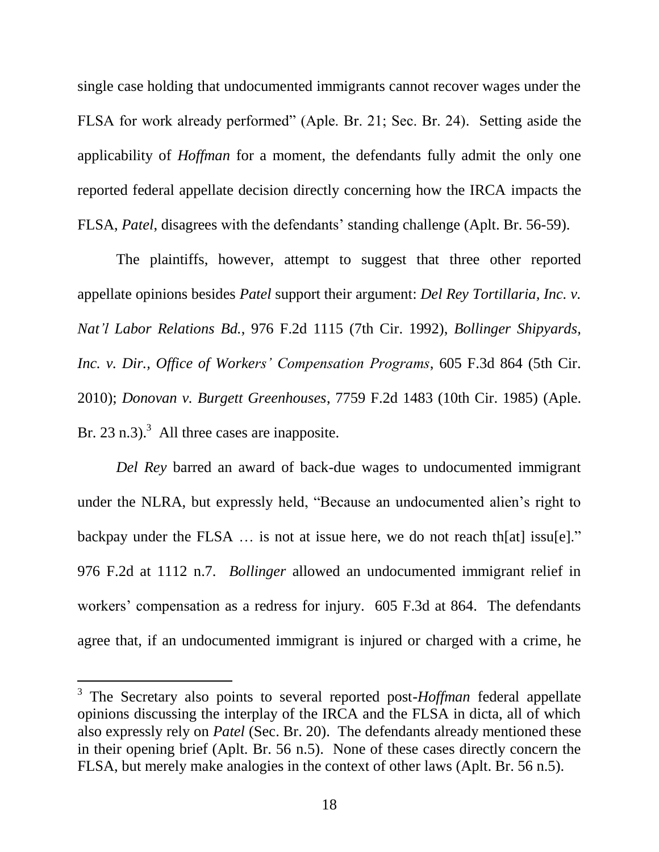single case holding that undocumented immigrants cannot recover wages under the FLSA for work already performed" (Aple. Br. 21; Sec. Br. 24). Setting aside the applicability of *Hoffman* for a moment, the defendants fully admit the only one reported federal appellate decision directly concerning how the IRCA impacts the FLSA, *Patel*, disagrees with the defendants' standing challenge (Aplt. Br. 56-59).

The plaintiffs, however, attempt to suggest that three other reported appellate opinions besides *Patel* support their argument: *Del Rey Tortillaria, Inc. v. Nat'l Labor Relations Bd.*, 976 F.2d 1115 (7th Cir. 1992), *Bollinger Shipyards, Inc. v. Dir., Office of Workers' Compensation Programs*, 605 F.3d 864 (5th Cir. 2010); *Donovan v. Burgett Greenhouses*, 7759 F.2d 1483 (10th Cir. 1985) (Aple. Br. 23 n.3).<sup>3</sup> All three cases are inapposite.

*Del Rey* barred an award of back-due wages to undocumented immigrant under the NLRA, but expressly held, "Because an undocumented alien's right to backpay under the FLSA … is not at issue here, we do not reach th[at] issu[e]." 976 F.2d at 1112 n.7. *Bollinger* allowed an undocumented immigrant relief in workers' compensation as a redress for injury. 605 F.3d at 864. The defendants agree that, if an undocumented immigrant is injured or charged with a crime, he

 $\overline{a}$ 

<sup>&</sup>lt;sup>3</sup> The Secretary also points to several reported post-*Hoffman* federal appellate opinions discussing the interplay of the IRCA and the FLSA in dicta, all of which also expressly rely on *Patel* (Sec. Br. 20). The defendants already mentioned these in their opening brief (Aplt. Br. 56 n.5). None of these cases directly concern the FLSA, but merely make analogies in the context of other laws (Aplt. Br. 56 n.5).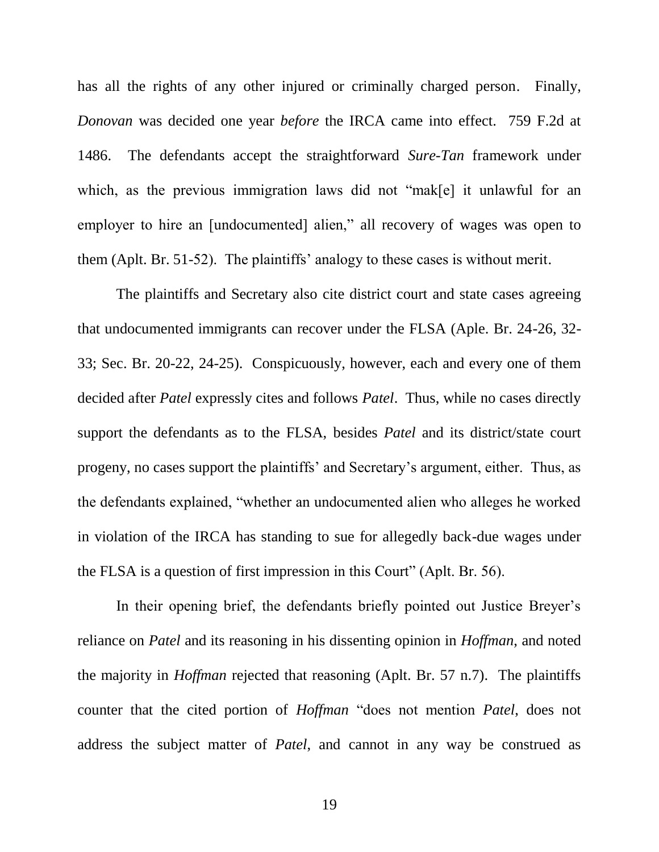has all the rights of any other injured or criminally charged person. Finally, *Donovan* was decided one year *before* the IRCA came into effect. 759 F.2d at 1486. The defendants accept the straightforward *Sure-Tan* framework under which, as the previous immigration laws did not "mak[e] it unlawful for an employer to hire an [undocumented] alien," all recovery of wages was open to them (Aplt. Br. 51-52). The plaintiffs' analogy to these cases is without merit.

The plaintiffs and Secretary also cite district court and state cases agreeing that undocumented immigrants can recover under the FLSA (Aple. Br. 24-26, 32- 33; Sec. Br. 20-22, 24-25). Conspicuously, however, each and every one of them decided after *Patel* expressly cites and follows *Patel*. Thus, while no cases directly support the defendants as to the FLSA, besides *Patel* and its district/state court progeny, no cases support the plaintiffs' and Secretary's argument, either. Thus, as the defendants explained, "whether an undocumented alien who alleges he worked in violation of the IRCA has standing to sue for allegedly back-due wages under the FLSA is a question of first impression in this Court" (Aplt. Br. 56).

In their opening brief, the defendants briefly pointed out Justice Breyer's reliance on *Patel* and its reasoning in his dissenting opinion in *Hoffman*, and noted the majority in *Hoffman* rejected that reasoning (Aplt. Br. 57 n.7). The plaintiffs counter that the cited portion of *Hoffman* "does not mention *Patel*, does not address the subject matter of *Patel*, and cannot in any way be construed as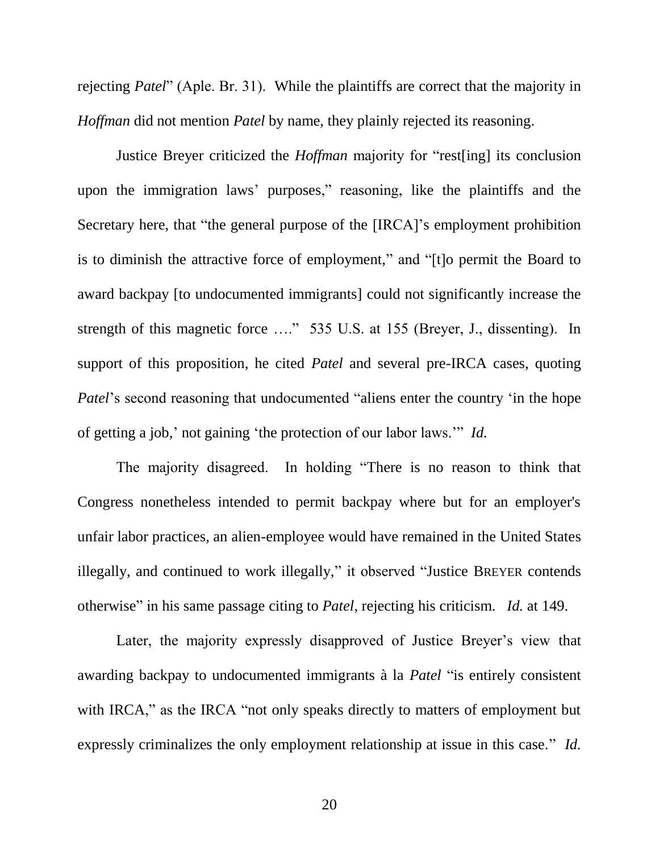rejecting *Patel*" (Aple. Br. 31). While the plaintiffs are correct that the majority in *Hoffman* did not mention *Patel* by name, they plainly rejected its reasoning.

Justice Breyer criticized the *Hoffman* majority for "rest[ing] its conclusion upon the immigration laws' purposes," reasoning, like the plaintiffs and the Secretary here, that "the general purpose of the [IRCA]'s employment prohibition is to diminish the attractive force of employment," and "[t]o permit the Board to award backpay [to undocumented immigrants] could not significantly increase the strength of this magnetic force …." 535 U.S. at 155 (Breyer, J., dissenting). In support of this proposition, he cited *Patel* and several pre-IRCA cases, quoting *Patel*'s second reasoning that undocumented "aliens enter the country 'in the hope of getting a job,' not gaining 'the protection of our labor laws.'" *Id.*

The majority disagreed. In holding "There is no reason to think that Congress nonetheless intended to permit backpay where but for an employer's unfair labor practices, an alien-employee would have remained in the United States illegally, and continued to work illegally," it observed "Justice BREYER contends otherwise" in his same passage citing to *Patel*, rejecting his criticism. *Id.* at 149.

Later, the majority expressly disapproved of Justice Breyer's view that awarding backpay to undocumented immigrants à la *Patel* "is entirely consistent with IRCA," as the IRCA "not only speaks directly to matters of employment but expressly criminalizes the only employment relationship at issue in this case." *Id.*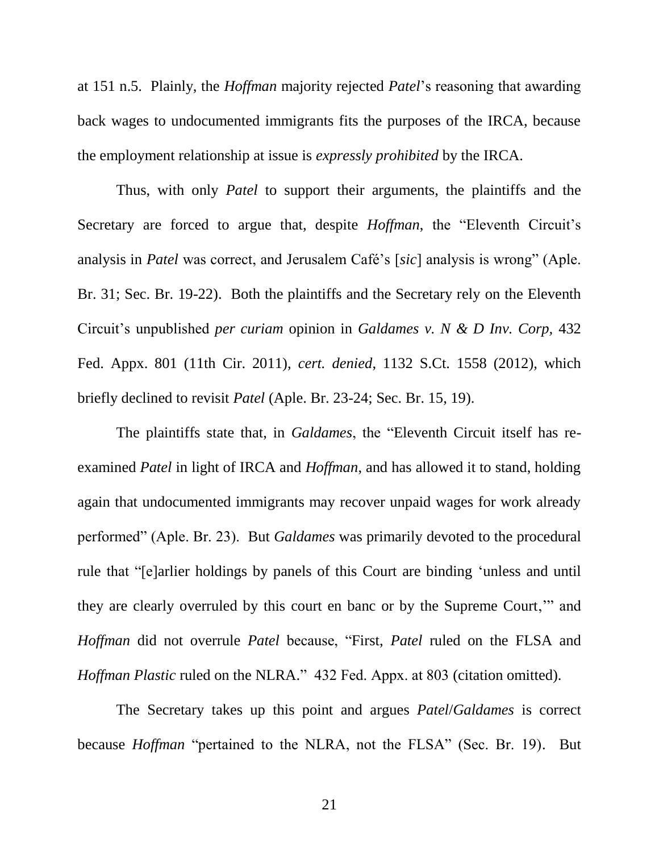at 151 n.5. Plainly, the *Hoffman* majority rejected *Patel*'s reasoning that awarding back wages to undocumented immigrants fits the purposes of the IRCA, because the employment relationship at issue is *expressly prohibited* by the IRCA.

Thus, with only *Patel* to support their arguments, the plaintiffs and the Secretary are forced to argue that, despite *Hoffman*, the "Eleventh Circuit's analysis in *Patel* was correct, and Jerusalem Café's [*sic*] analysis is wrong" (Aple. Br. 31; Sec. Br. 19-22). Both the plaintiffs and the Secretary rely on the Eleventh Circuit's unpublished *per curiam* opinion in *Galdames v. N & D Inv. Corp,* 432 Fed. Appx. 801 (11th Cir. 2011), *cert. denied*, 1132 S.Ct. 1558 (2012), which briefly declined to revisit *Patel* (Aple. Br. 23-24; Sec. Br. 15, 19).

The plaintiffs state that, in *Galdames*, the "Eleventh Circuit itself has reexamined *Patel* in light of IRCA and *Hoffman*, and has allowed it to stand, holding again that undocumented immigrants may recover unpaid wages for work already performed" (Aple. Br. 23). But *Galdames* was primarily devoted to the procedural rule that "[e]arlier holdings by panels of this Court are binding 'unless and until they are clearly overruled by this court en banc or by the Supreme Court,'" and *Hoffman* did not overrule *Patel* because, "First, *Patel* ruled on the FLSA and *Hoffman Plastic* ruled on the NLRA." 432 Fed. Appx. at 803 (citation omitted).

The Secretary takes up this point and argues *Patel*/*Galdames* is correct because *Hoffman* "pertained to the NLRA, not the FLSA" (Sec. Br. 19). But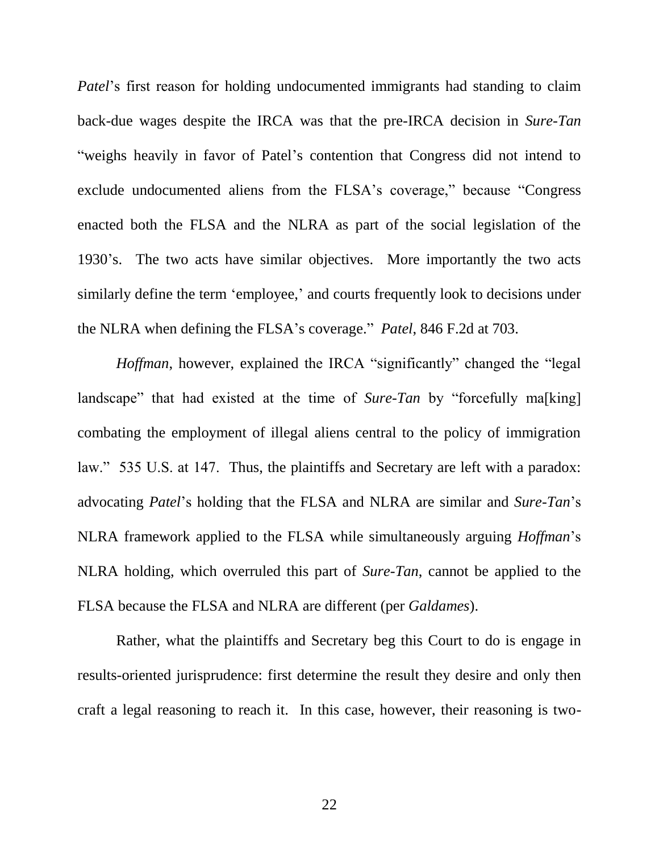*Patel*'s first reason for holding undocumented immigrants had standing to claim back-due wages despite the IRCA was that the pre-IRCA decision in *Sure-Tan* "weighs heavily in favor of Patel's contention that Congress did not intend to exclude undocumented aliens from the FLSA's coverage," because "Congress enacted both the FLSA and the NLRA as part of the social legislation of the 1930's. The two acts have similar objectives. More importantly the two acts similarly define the term 'employee,' and courts frequently look to decisions under the NLRA when defining the FLSA's coverage." *Patel*, 846 F.2d at 703.

*Hoffman*, however, explained the IRCA "significantly" changed the "legal landscape" that had existed at the time of *Sure-Tan* by "forcefully ma<sup>[king]</sup> combating the employment of illegal aliens central to the policy of immigration law." 535 U.S. at 147. Thus, the plaintiffs and Secretary are left with a paradox: advocating *Patel*'s holding that the FLSA and NLRA are similar and *Sure-Tan*'s NLRA framework applied to the FLSA while simultaneously arguing *Hoffman*'s NLRA holding, which overruled this part of *Sure-Tan*, cannot be applied to the FLSA because the FLSA and NLRA are different (per *Galdames*).

Rather, what the plaintiffs and Secretary beg this Court to do is engage in results-oriented jurisprudence: first determine the result they desire and only then craft a legal reasoning to reach it. In this case, however, their reasoning is two-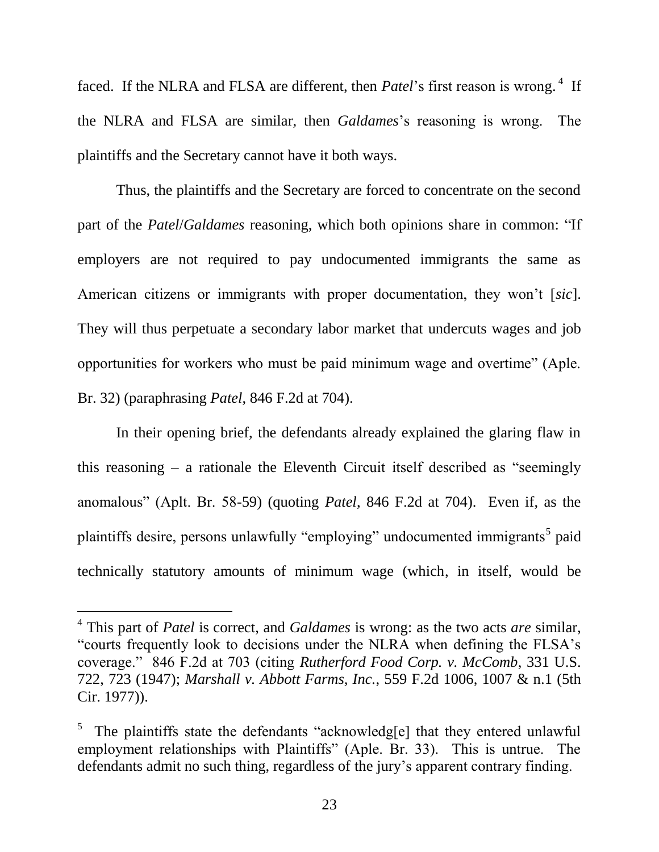faced. If the NLRA and FLSA are different, then *Patel*'s first reason is wrong.<sup>4</sup> If the NLRA and FLSA are similar, then *Galdames*'s reasoning is wrong. The plaintiffs and the Secretary cannot have it both ways.

Thus, the plaintiffs and the Secretary are forced to concentrate on the second part of the *Patel*/*Galdames* reasoning, which both opinions share in common: "If employers are not required to pay undocumented immigrants the same as American citizens or immigrants with proper documentation, they won't [*sic*]. They will thus perpetuate a secondary labor market that undercuts wages and job opportunities for workers who must be paid minimum wage and overtime" (Aple. Br. 32) (paraphrasing *Patel*, 846 F.2d at 704).

In their opening brief, the defendants already explained the glaring flaw in this reasoning – a rationale the Eleventh Circuit itself described as "seemingly anomalous" (Aplt. Br. 58-59) (quoting *Patel*, 846 F.2d at 704). Even if, as the plaintiffs desire, persons unlawfully "employing" undocumented immigrants<sup>5</sup> paid technically statutory amounts of minimum wage (which, in itself, would be

 $\overline{a}$ 

<sup>4</sup> This part of *Patel* is correct, and *Galdames* is wrong: as the two acts *are* similar, "courts frequently look to decisions under the NLRA when defining the FLSA's coverage." 846 F.2d at 703 (citing *Rutherford Food Corp. v. McComb*, 331 U.S. 722, 723 (1947); *Marshall v. Abbott Farms, Inc.*, 559 F.2d 1006, 1007 & n.1 (5th Cir. 1977)).

<sup>5</sup> The plaintiffs state the defendants "acknowledg[e] that they entered unlawful employment relationships with Plaintiffs" (Aple. Br. 33). This is untrue. The defendants admit no such thing, regardless of the jury's apparent contrary finding.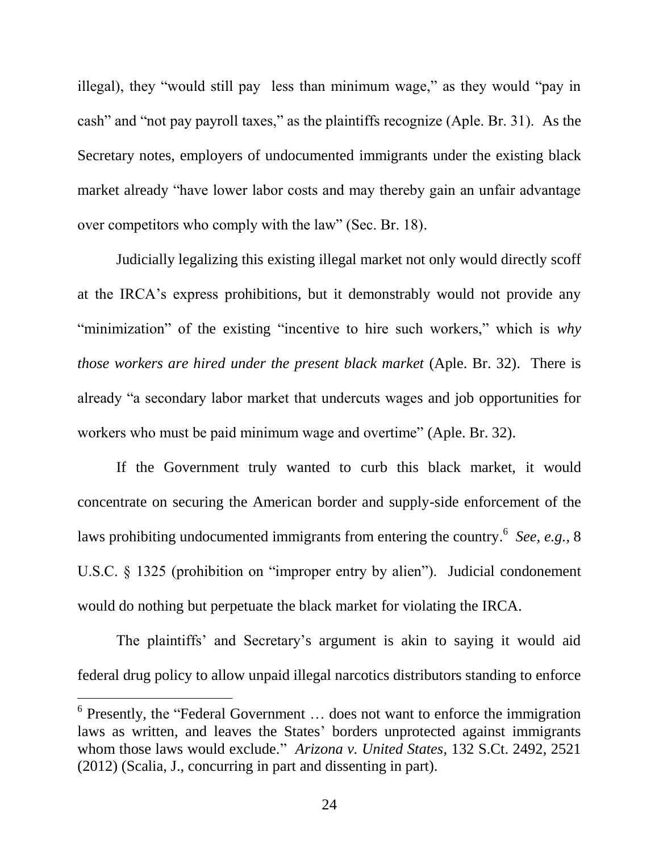illegal), they "would still pay less than minimum wage," as they would "pay in cash" and "not pay payroll taxes," as the plaintiffs recognize (Aple. Br. 31). As the Secretary notes, employers of undocumented immigrants under the existing black market already "have lower labor costs and may thereby gain an unfair advantage over competitors who comply with the law" (Sec. Br. 18).

Judicially legalizing this existing illegal market not only would directly scoff at the IRCA's express prohibitions, but it demonstrably would not provide any "minimization" of the existing "incentive to hire such workers," which is *why those workers are hired under the present black market* (Aple. Br. 32). There is already "a secondary labor market that undercuts wages and job opportunities for workers who must be paid minimum wage and overtime" (Aple. Br. 32).

If the Government truly wanted to curb this black market, it would concentrate on securing the American border and supply-side enforcement of the laws prohibiting undocumented immigrants from entering the country.<sup>6</sup> See, e.g., 8 U.S.C. § 1325 (prohibition on "improper entry by alien"). Judicial condonement would do nothing but perpetuate the black market for violating the IRCA.

The plaintiffs' and Secretary's argument is akin to saying it would aid federal drug policy to allow unpaid illegal narcotics distributors standing to enforce

 $\overline{a}$ 

<sup>&</sup>lt;sup>6</sup> Presently, the "Federal Government ... does not want to enforce the immigration laws as written, and leaves the States' borders unprotected against immigrants whom those laws would exclude." *Arizona v. United States*, 132 S.Ct. 2492, 2521 (2012) (Scalia, J., concurring in part and dissenting in part).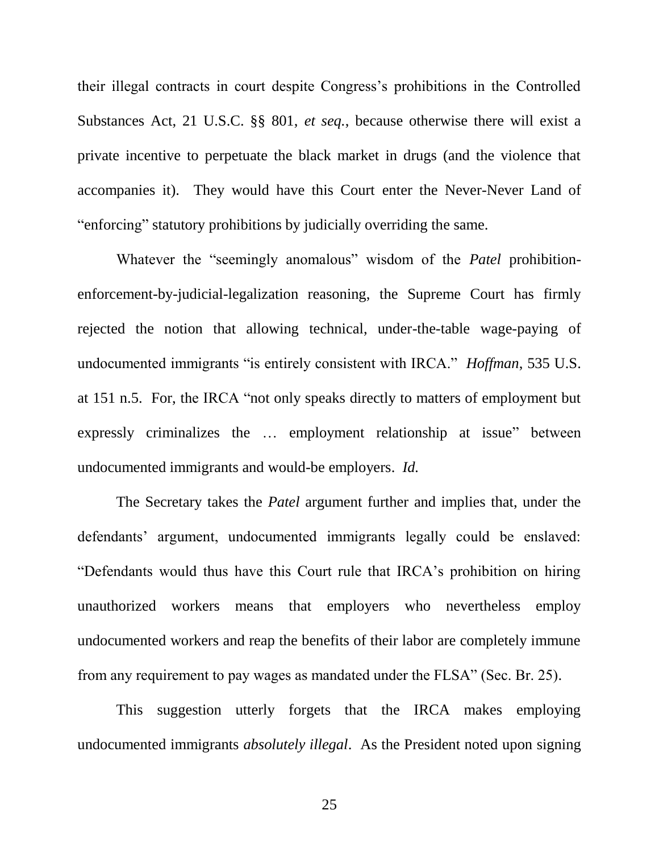their illegal contracts in court despite Congress's prohibitions in the Controlled Substances Act, 21 U.S.C. §§ 801, *et seq.*, because otherwise there will exist a private incentive to perpetuate the black market in drugs (and the violence that accompanies it). They would have this Court enter the Never-Never Land of "enforcing" statutory prohibitions by judicially overriding the same.

Whatever the "seemingly anomalous" wisdom of the *Patel* prohibitionenforcement-by-judicial-legalization reasoning, the Supreme Court has firmly rejected the notion that allowing technical, under-the-table wage-paying of undocumented immigrants "is entirely consistent with IRCA." *Hoffman*, 535 U.S. at 151 n.5. For, the IRCA "not only speaks directly to matters of employment but expressly criminalizes the … employment relationship at issue" between undocumented immigrants and would-be employers. *Id.*

The Secretary takes the *Patel* argument further and implies that, under the defendants' argument, undocumented immigrants legally could be enslaved: "Defendants would thus have this Court rule that IRCA's prohibition on hiring unauthorized workers means that employers who nevertheless employ undocumented workers and reap the benefits of their labor are completely immune from any requirement to pay wages as mandated under the FLSA" (Sec. Br. 25).

This suggestion utterly forgets that the IRCA makes employing undocumented immigrants *absolutely illegal*. As the President noted upon signing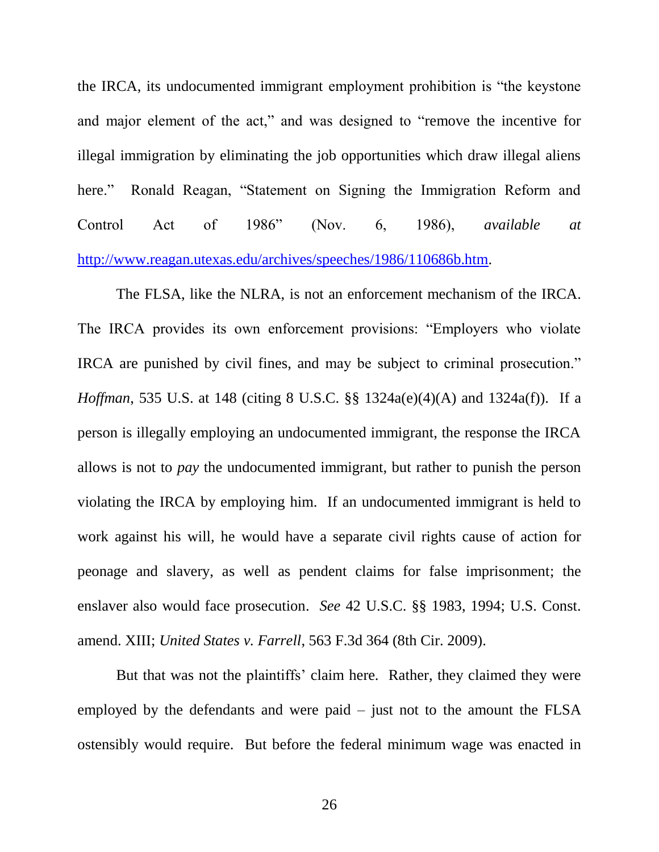the IRCA, its undocumented immigrant employment prohibition is "the keystone and major element of the act," and was designed to "remove the incentive for illegal immigration by eliminating the job opportunities which draw illegal aliens here." Ronald Reagan, "Statement on Signing the Immigration Reform and Control Act of 1986" (Nov. 6, 1986), *available at* [http://www.reagan.utexas.edu/archives/speeches/1986/110686b.htm.](http://www.reagan.utexas.edu/archives/speeches/1986/110686b.htm)

The FLSA, like the NLRA, is not an enforcement mechanism of the IRCA. The IRCA provides its own enforcement provisions: "Employers who violate IRCA are punished by civil fines, and may be subject to criminal prosecution." *Hoffman*, 535 U.S. at 148 (citing 8 U.S.C. §§ 1324a(e)(4)(A) and 1324a(f)). If a person is illegally employing an undocumented immigrant, the response the IRCA allows is not to *pay* the undocumented immigrant, but rather to punish the person violating the IRCA by employing him. If an undocumented immigrant is held to work against his will, he would have a separate civil rights cause of action for peonage and slavery, as well as pendent claims for false imprisonment; the enslaver also would face prosecution. *See* 42 U.S.C. §§ 1983, 1994; U.S. Const. amend. XIII; *United States v. Farrell*, 563 F.3d 364 (8th Cir. 2009).

But that was not the plaintiffs' claim here. Rather, they claimed they were employed by the defendants and were paid – just not to the amount the FLSA ostensibly would require. But before the federal minimum wage was enacted in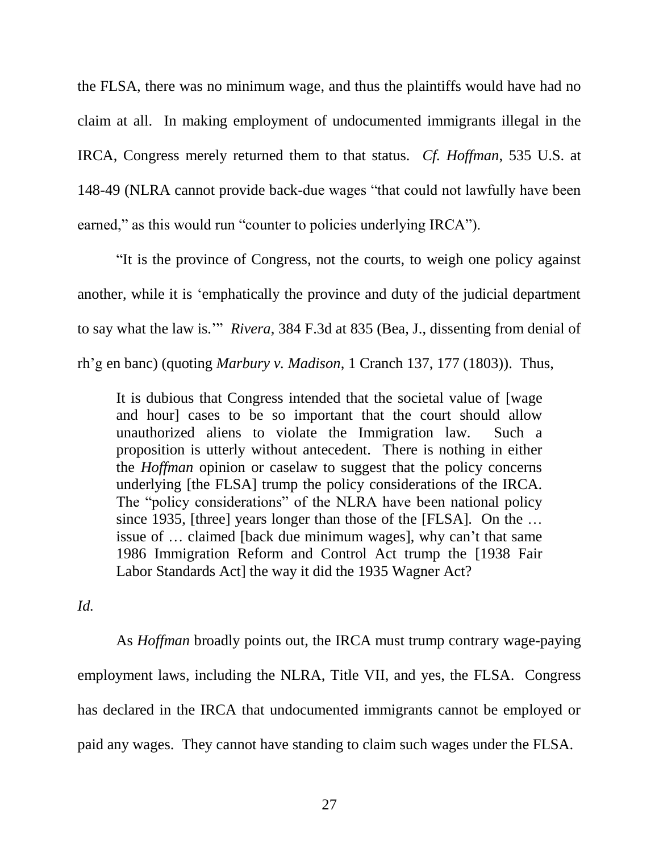the FLSA, there was no minimum wage, and thus the plaintiffs would have had no claim at all. In making employment of undocumented immigrants illegal in the IRCA, Congress merely returned them to that status. *Cf. Hoffman*, 535 U.S. at 148-49 (NLRA cannot provide back-due wages "that could not lawfully have been earned," as this would run "counter to policies underlying IRCA").

"It is the province of Congress, not the courts, to weigh one policy against another, while it is 'emphatically the province and duty of the judicial department to say what the law is.'" *Rivera*, 384 F.3d at 835 (Bea, J., dissenting from denial of rh'g en banc) (quoting *Marbury v. Madison*, 1 Cranch 137, 177 (1803)). Thus,

It is dubious that Congress intended that the societal value of [wage and hour] cases to be so important that the court should allow unauthorized aliens to violate the Immigration law. Such a proposition is utterly without antecedent. There is nothing in either the *Hoffman* opinion or caselaw to suggest that the policy concerns underlying [the FLSA] trump the policy considerations of the IRCA. The "policy considerations" of the NLRA have been national policy since 1935, [three] years longer than those of the [FLSA]. On the ... issue of … claimed [back due minimum wages], why can't that same 1986 Immigration Reform and Control Act trump the [1938 Fair Labor Standards Act] the way it did the 1935 Wagner Act?

*Id.*

As *Hoffman* broadly points out, the IRCA must trump contrary wage-paying employment laws, including the NLRA, Title VII, and yes, the FLSA. Congress has declared in the IRCA that undocumented immigrants cannot be employed or paid any wages. They cannot have standing to claim such wages under the FLSA.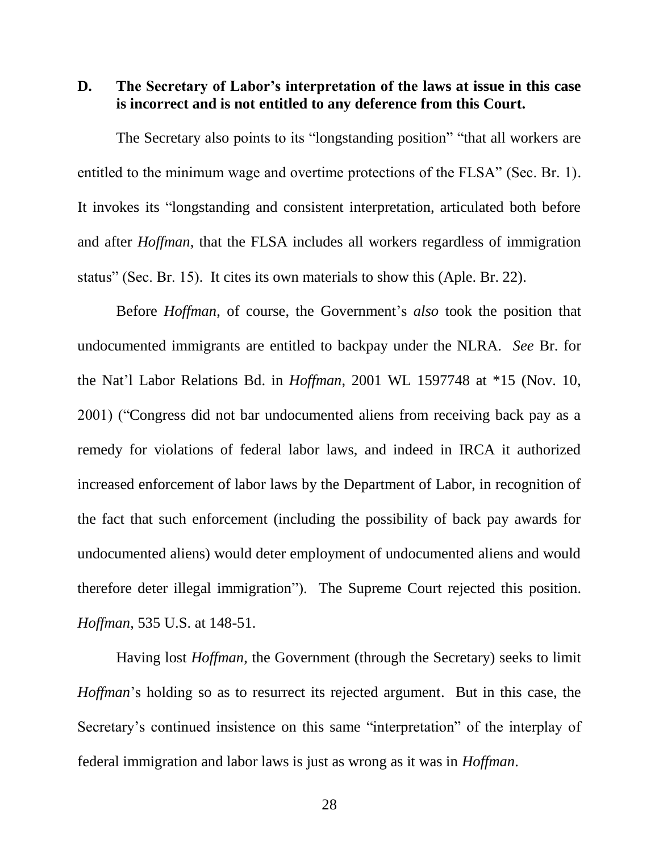**D. The Secretary of Labor's interpretation of the laws at issue in this case is incorrect and is not entitled to any deference from this Court.**

The Secretary also points to its "longstanding position" "that all workers are entitled to the minimum wage and overtime protections of the FLSA" (Sec. Br. 1). It invokes its "longstanding and consistent interpretation, articulated both before and after *Hoffman*, that the FLSA includes all workers regardless of immigration status" (Sec. Br. 15). It cites its own materials to show this (Aple. Br. 22).

Before *Hoffman*, of course, the Government's *also* took the position that undocumented immigrants are entitled to backpay under the NLRA. *See* Br. for the Nat'l Labor Relations Bd. in *Hoffman*, 2001 WL 1597748 at \*15 (Nov. 10, 2001) ("Congress did not bar undocumented aliens from receiving back pay as a remedy for violations of federal labor laws, and indeed in IRCA it authorized increased enforcement of labor laws by the Department of Labor, in recognition of the fact that such enforcement (including the possibility of back pay awards for undocumented aliens) would deter employment of undocumented aliens and would therefore deter illegal immigration"). The Supreme Court rejected this position. *Hoffman*, 535 U.S. at 148-51.

Having lost *Hoffman*, the Government (through the Secretary) seeks to limit *Hoffman*'s holding so as to resurrect its rejected argument. But in this case, the Secretary's continued insistence on this same "interpretation" of the interplay of federal immigration and labor laws is just as wrong as it was in *Hoffman*.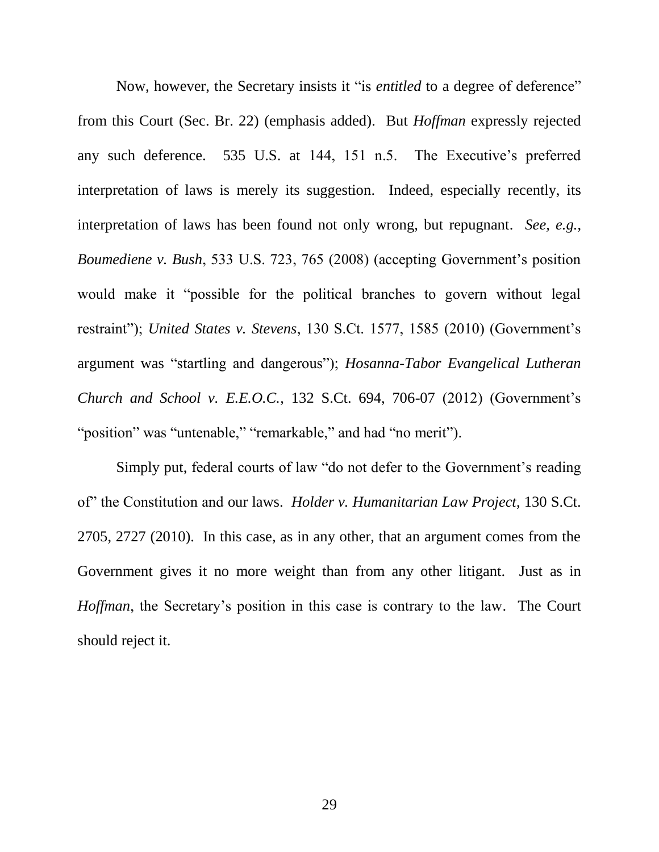Now, however, the Secretary insists it "is *entitled* to a degree of deference" from this Court (Sec. Br. 22) (emphasis added). But *Hoffman* expressly rejected any such deference. 535 U.S. at 144, 151 n.5. The Executive's preferred interpretation of laws is merely its suggestion. Indeed, especially recently, its interpretation of laws has been found not only wrong, but repugnant. *See, e.g.*, *Boumediene v. Bush*, 533 U.S. 723, 765 (2008) (accepting Government's position would make it "possible for the political branches to govern without legal restraint"); *United States v. Stevens*, 130 S.Ct. 1577, 1585 (2010) (Government's argument was "startling and dangerous"); *Hosanna-Tabor Evangelical Lutheran Church and School v. E.E.O.C.*, 132 S.Ct. 694, 706-07 (2012) (Government's "position" was "untenable," "remarkable," and had "no merit").

Simply put, federal courts of law "do not defer to the Government's reading of" the Constitution and our laws. *Holder v. Humanitarian Law Project*, 130 S.Ct. 2705, 2727 (2010). In this case, as in any other, that an argument comes from the Government gives it no more weight than from any other litigant. Just as in *Hoffman*, the Secretary's position in this case is contrary to the law. The Court should reject it.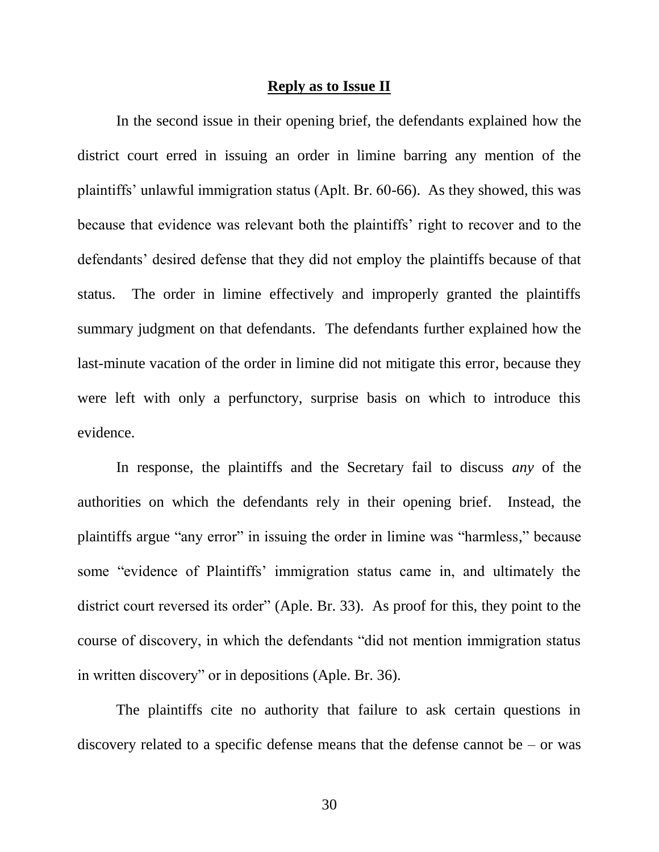#### **Reply as to Issue II**

In the second issue in their opening brief, the defendants explained how the district court erred in issuing an order in limine barring any mention of the plaintiffs' unlawful immigration status (Aplt. Br. 60-66). As they showed, this was because that evidence was relevant both the plaintiffs' right to recover and to the defendants' desired defense that they did not employ the plaintiffs because of that status. The order in limine effectively and improperly granted the plaintiffs summary judgment on that defendants. The defendants further explained how the last-minute vacation of the order in limine did not mitigate this error, because they were left with only a perfunctory, surprise basis on which to introduce this evidence.

In response, the plaintiffs and the Secretary fail to discuss *any* of the authorities on which the defendants rely in their opening brief. Instead, the plaintiffs argue "any error" in issuing the order in limine was "harmless," because some "evidence of Plaintiffs' immigration status came in, and ultimately the district court reversed its order" (Aple. Br. 33). As proof for this, they point to the course of discovery, in which the defendants "did not mention immigration status in written discovery" or in depositions (Aple. Br. 36).

The plaintiffs cite no authority that failure to ask certain questions in discovery related to a specific defense means that the defense cannot be  $-$  or was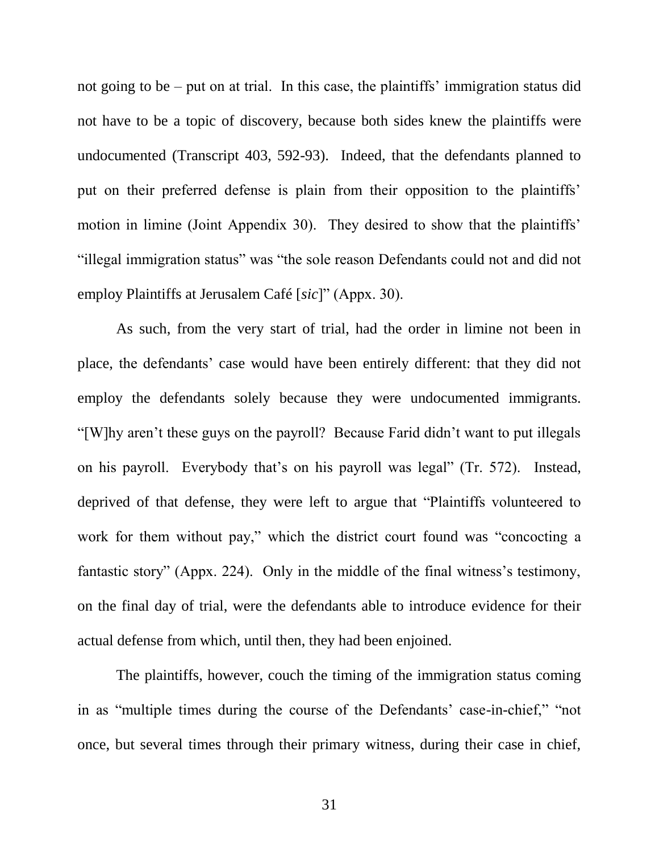not going to be – put on at trial. In this case, the plaintiffs' immigration status did not have to be a topic of discovery, because both sides knew the plaintiffs were undocumented (Transcript 403, 592-93). Indeed, that the defendants planned to put on their preferred defense is plain from their opposition to the plaintiffs' motion in limine (Joint Appendix 30). They desired to show that the plaintiffs' "illegal immigration status" was "the sole reason Defendants could not and did not employ Plaintiffs at Jerusalem Café [*sic*]" (Appx. 30).

As such, from the very start of trial, had the order in limine not been in place, the defendants' case would have been entirely different: that they did not employ the defendants solely because they were undocumented immigrants. "[W]hy aren't these guys on the payroll? Because Farid didn't want to put illegals on his payroll. Everybody that's on his payroll was legal" (Tr. 572). Instead, deprived of that defense, they were left to argue that "Plaintiffs volunteered to work for them without pay," which the district court found was "concocting a fantastic story" (Appx. 224). Only in the middle of the final witness's testimony, on the final day of trial, were the defendants able to introduce evidence for their actual defense from which, until then, they had been enjoined.

The plaintiffs, however, couch the timing of the immigration status coming in as "multiple times during the course of the Defendants' case-in-chief," "not once, but several times through their primary witness, during their case in chief,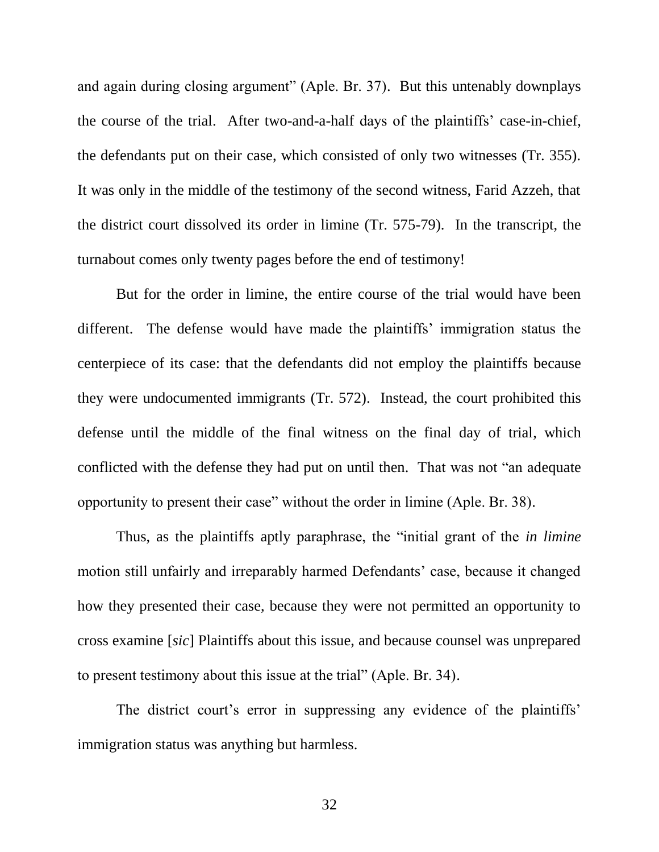and again during closing argument" (Aple. Br. 37). But this untenably downplays the course of the trial. After two-and-a-half days of the plaintiffs' case-in-chief, the defendants put on their case, which consisted of only two witnesses (Tr. 355). It was only in the middle of the testimony of the second witness, Farid Azzeh, that the district court dissolved its order in limine (Tr. 575-79). In the transcript, the turnabout comes only twenty pages before the end of testimony!

But for the order in limine, the entire course of the trial would have been different. The defense would have made the plaintiffs' immigration status the centerpiece of its case: that the defendants did not employ the plaintiffs because they were undocumented immigrants (Tr. 572). Instead, the court prohibited this defense until the middle of the final witness on the final day of trial, which conflicted with the defense they had put on until then. That was not "an adequate opportunity to present their case" without the order in limine (Aple. Br. 38).

Thus, as the plaintiffs aptly paraphrase, the "initial grant of the *in limine* motion still unfairly and irreparably harmed Defendants' case, because it changed how they presented their case, because they were not permitted an opportunity to cross examine [*sic*] Plaintiffs about this issue, and because counsel was unprepared to present testimony about this issue at the trial" (Aple. Br. 34).

The district court's error in suppressing any evidence of the plaintiffs' immigration status was anything but harmless.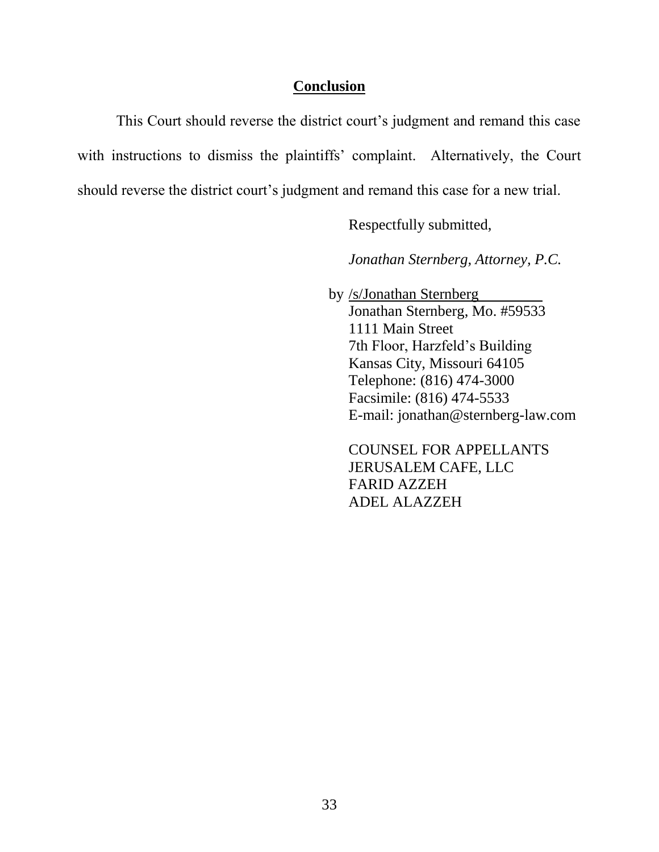### **Conclusion**

This Court should reverse the district court's judgment and remand this case with instructions to dismiss the plaintiffs' complaint. Alternatively, the Court should reverse the district court's judgment and remand this case for a new trial.

Respectfully submitted,

*Jonathan Sternberg, Attorney, P.C.*

 by /s/Jonathan Sternberg Jonathan Sternberg, Mo. #59533 1111 Main Street 7th Floor, Harzfeld's Building Kansas City, Missouri 64105 Telephone: (816) 474-3000 Facsimile: (816) 474-5533 E-mail: jonathan@sternberg-law.com

COUNSEL FOR APPELLANTS JERUSALEM CAFE, LLC FARID AZZEH ADEL ALAZZEH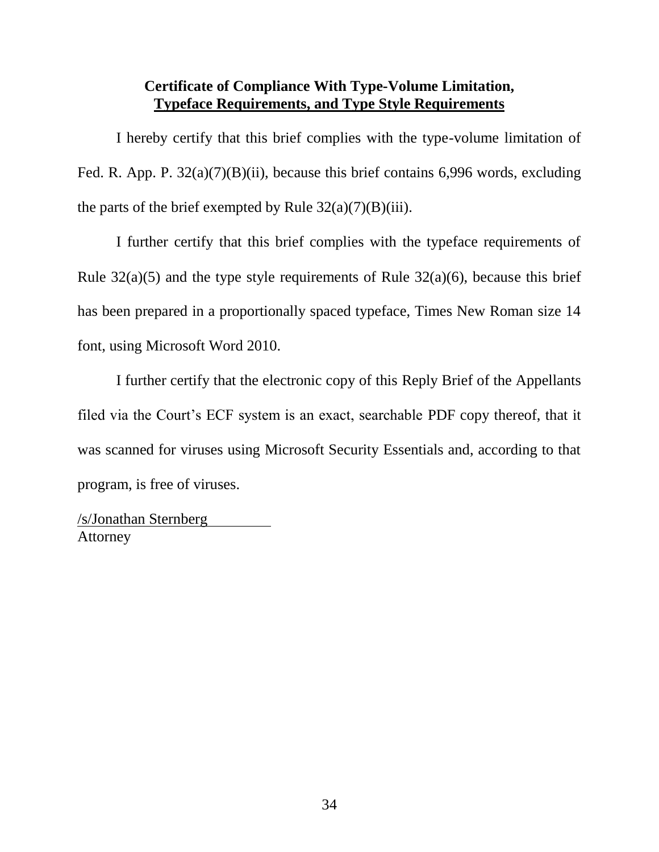## **Certificate of Compliance With Type-Volume Limitation, Typeface Requirements, and Type Style Requirements**

I hereby certify that this brief complies with the type-volume limitation of Fed. R. App. P.  $32(a)(7)(B)(ii)$ , because this brief contains 6,996 words, excluding the parts of the brief exempted by Rule  $32(a)(7)(B)(iii)$ .

I further certify that this brief complies with the typeface requirements of Rule  $32(a)(5)$  and the type style requirements of Rule  $32(a)(6)$ , because this brief has been prepared in a proportionally spaced typeface, Times New Roman size 14 font, using Microsoft Word 2010.

I further certify that the electronic copy of this Reply Brief of the Appellants filed via the Court's ECF system is an exact, searchable PDF copy thereof, that it was scanned for viruses using Microsoft Security Essentials and, according to that program, is free of viruses.

/s/Jonathan Sternberg Attorney